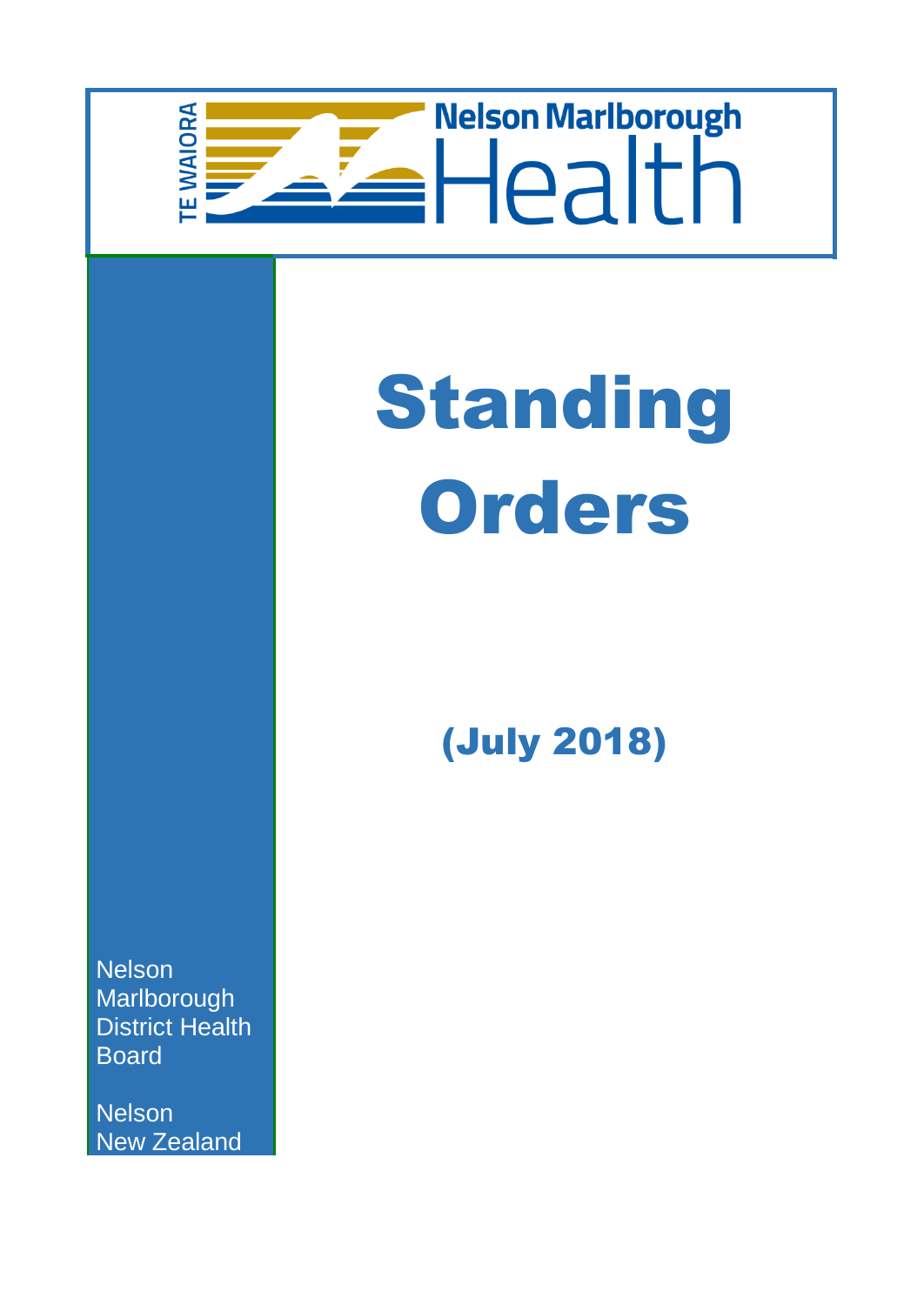# Telson Marlborough **EWAIORA**

# Standing **Orders**

(July 2018)

**Nelson** Marlborough District Health Board

**Nelson** New Zealand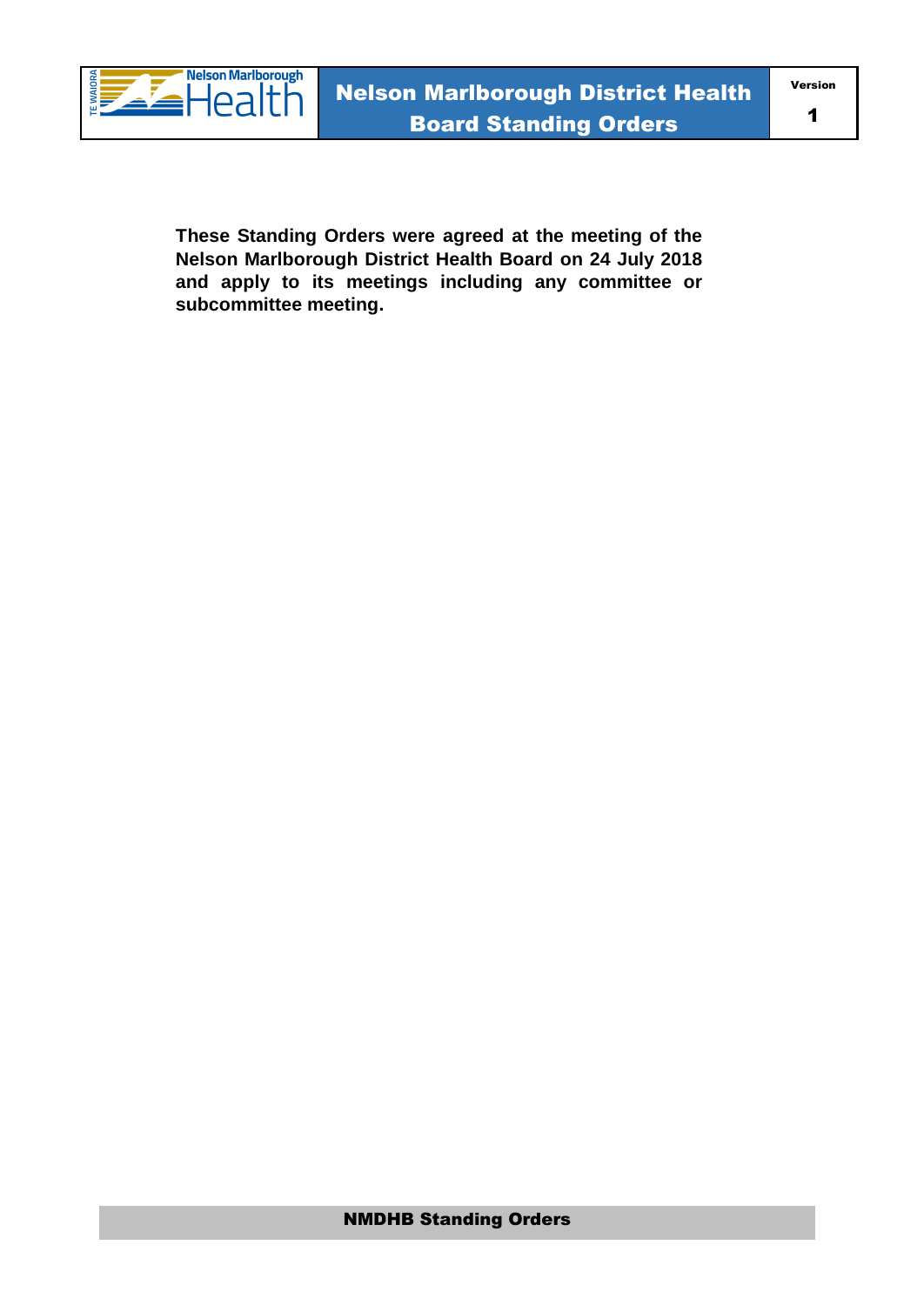

Version

**These Standing Orders were agreed at the meeting of the Nelson Marlborough District Health Board on 24 July 2018 and apply to its meetings including any committee or subcommittee meeting.**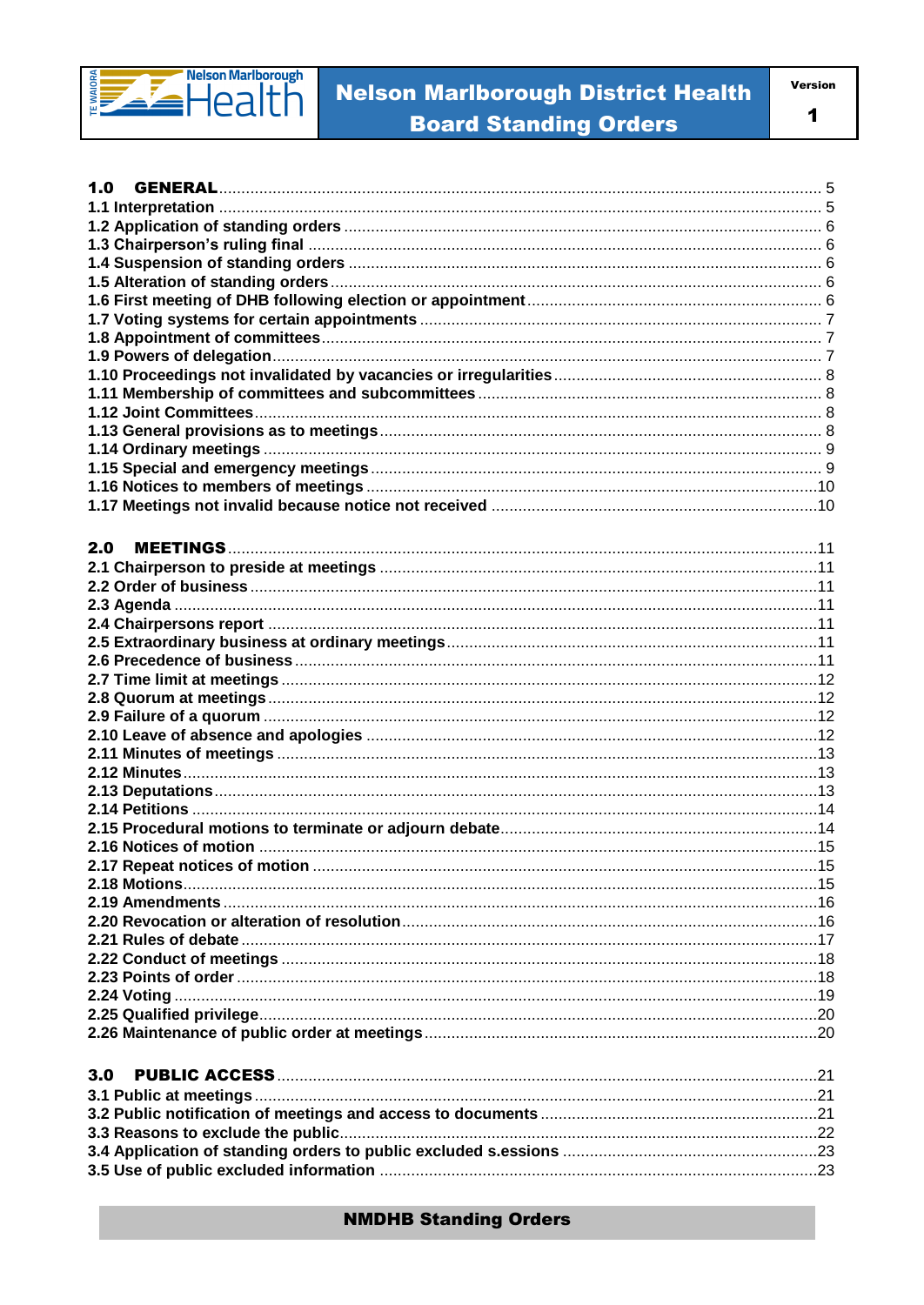

# **Nelson Marlborough District Health Board Standing Orders**

| I<br>٧ |  |
|--------|--|
|        |  |

| 1.0 |  |
|-----|--|
|     |  |
|     |  |
|     |  |
|     |  |
|     |  |
|     |  |
|     |  |
|     |  |
|     |  |
|     |  |
|     |  |
|     |  |
|     |  |
|     |  |
|     |  |
|     |  |
|     |  |
|     |  |
| 2.0 |  |
|     |  |
|     |  |
|     |  |
|     |  |
|     |  |
|     |  |
|     |  |
|     |  |
|     |  |
|     |  |
|     |  |
|     |  |
|     |  |
|     |  |
|     |  |
|     |  |
|     |  |
|     |  |
|     |  |
|     |  |
|     |  |
|     |  |
|     |  |
|     |  |
|     |  |
|     |  |
|     |  |
|     |  |
| 3.0 |  |
|     |  |
|     |  |
|     |  |
|     |  |
|     |  |
|     |  |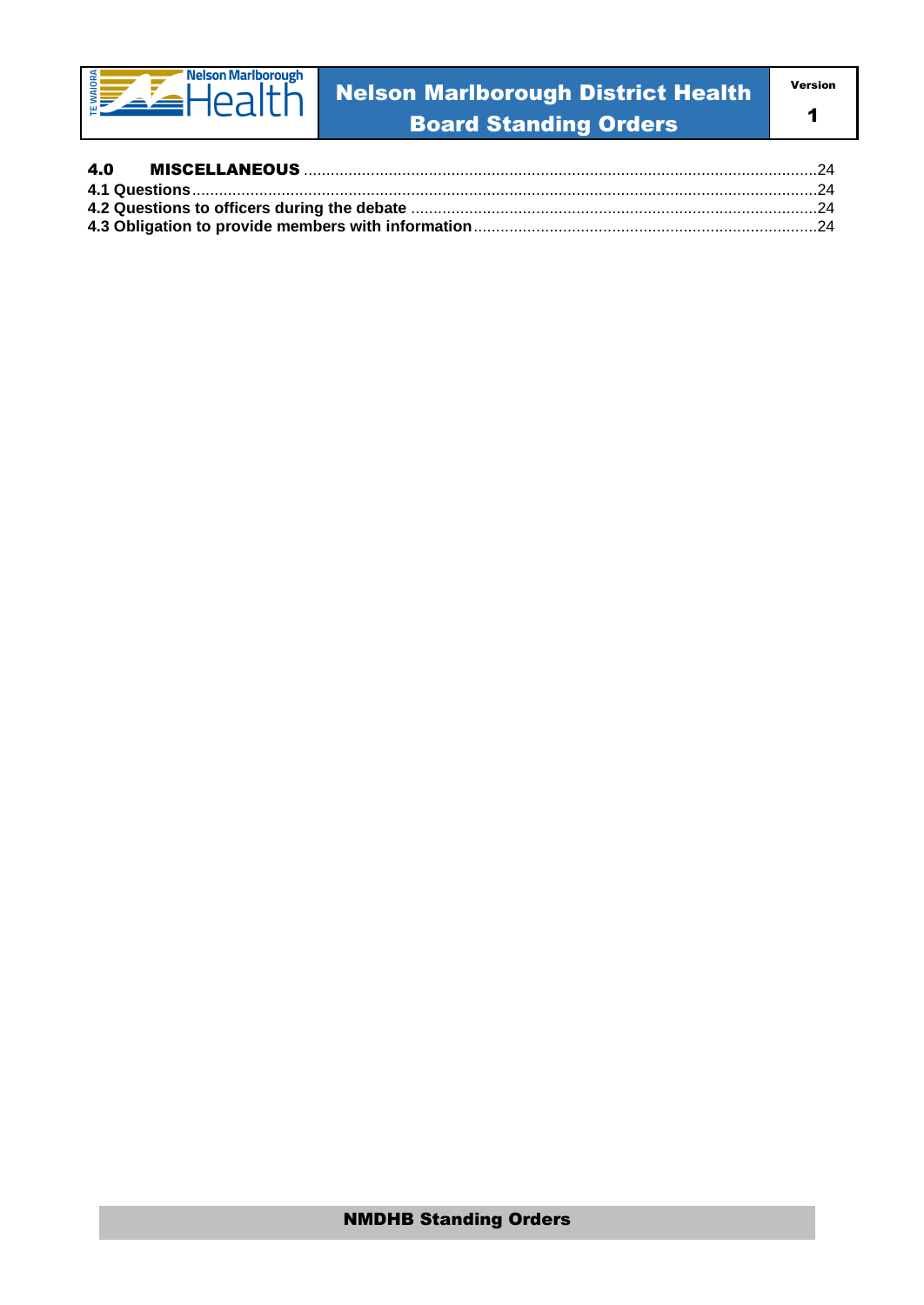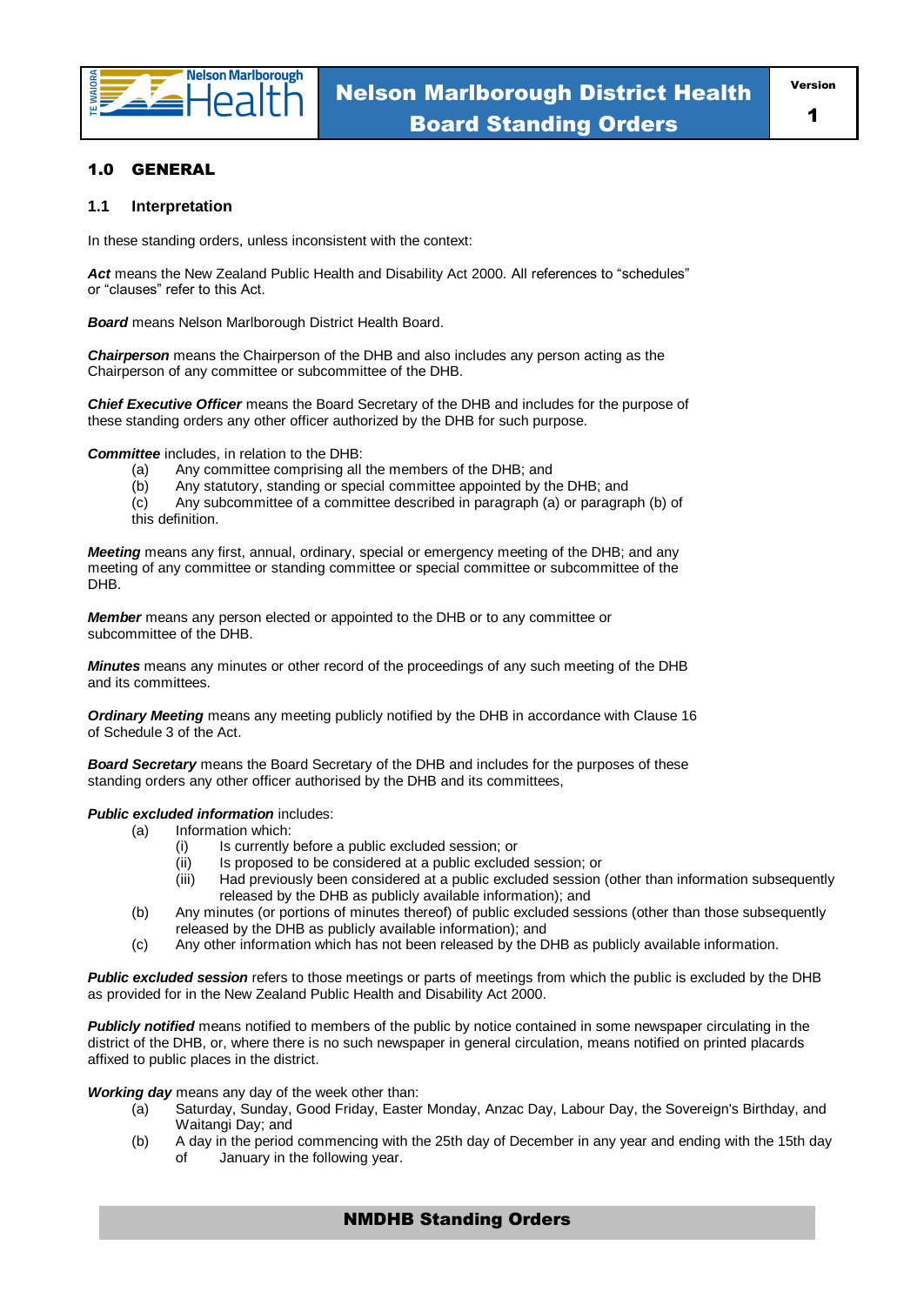

#### 1.0 GENERAL

#### **1.1 Interpretation**

In these standing orders, unless inconsistent with the context:

Act means the New Zealand Public Health and Disability Act 2000. All references to "schedules" or "clauses" refer to this Act.

*Board* means Nelson Marlborough District Health Board.

*Chairperson* means the Chairperson of the DHB and also includes any person acting as the Chairperson of any committee or subcommittee of the DHB.

*Chief Executive Officer* means the Board Secretary of the DHB and includes for the purpose of these standing orders any other officer authorized by the DHB for such purpose.

*Committee* includes, in relation to the DHB:

- (a) Any committee comprising all the members of the DHB; and
- (b) Any statutory, standing or special committee appointed by the DHB; and
- (c) Any subcommittee of a committee described in paragraph (a) or paragraph (b) of this definition.

*Meeting* means any first, annual, ordinary, special or emergency meeting of the DHB; and any meeting of any committee or standing committee or special committee or subcommittee of the DHB.

*Member* means any person elected or appointed to the DHB or to any committee or subcommittee of the DHB.

*Minutes* means any minutes or other record of the proceedings of any such meeting of the DHB and its committees.

*Ordinary Meeting* means any meeting publicly notified by the DHB in accordance with Clause 16 of Schedule 3 of the Act.

*Board Secretary* means the Board Secretary of the DHB and includes for the purposes of these standing orders any other officer authorised by the DHB and its committees,

#### *Public excluded information* includes:

- (a) Information which:
	- (i) Is currently before a public excluded session; or
	- (ii) Is proposed to be considered at a public excluded session; or
	- (iii) Had previously been considered at a public excluded session (other than information subsequently released by the DHB as publicly available information); and
- (b) Any minutes (or portions of minutes thereof) of public excluded sessions (other than those subsequently released by the DHB as publicly available information); and
- (c) Any other information which has not been released by the DHB as publicly available information.

*Public excluded session* refers to those meetings or parts of meetings from which the public is excluded by the DHB as provided for in the New Zealand Public Health and Disability Act 2000.

*Publicly notified* means notified to members of the public by notice contained in some newspaper circulating in the district of the DHB, or, where there is no such newspaper in general circulation, means notified on printed placards affixed to public places in the district.

*Working day* means any day of the week other than:

- (a) Saturday, Sunday, Good Friday, Easter Monday, Anzac Day, Labour Day, the Sovereign's Birthday, and Waitangi Day; and
- (b) A day in the period commencing with the 25th day of December in any year and ending with the 15th day of January in the following year.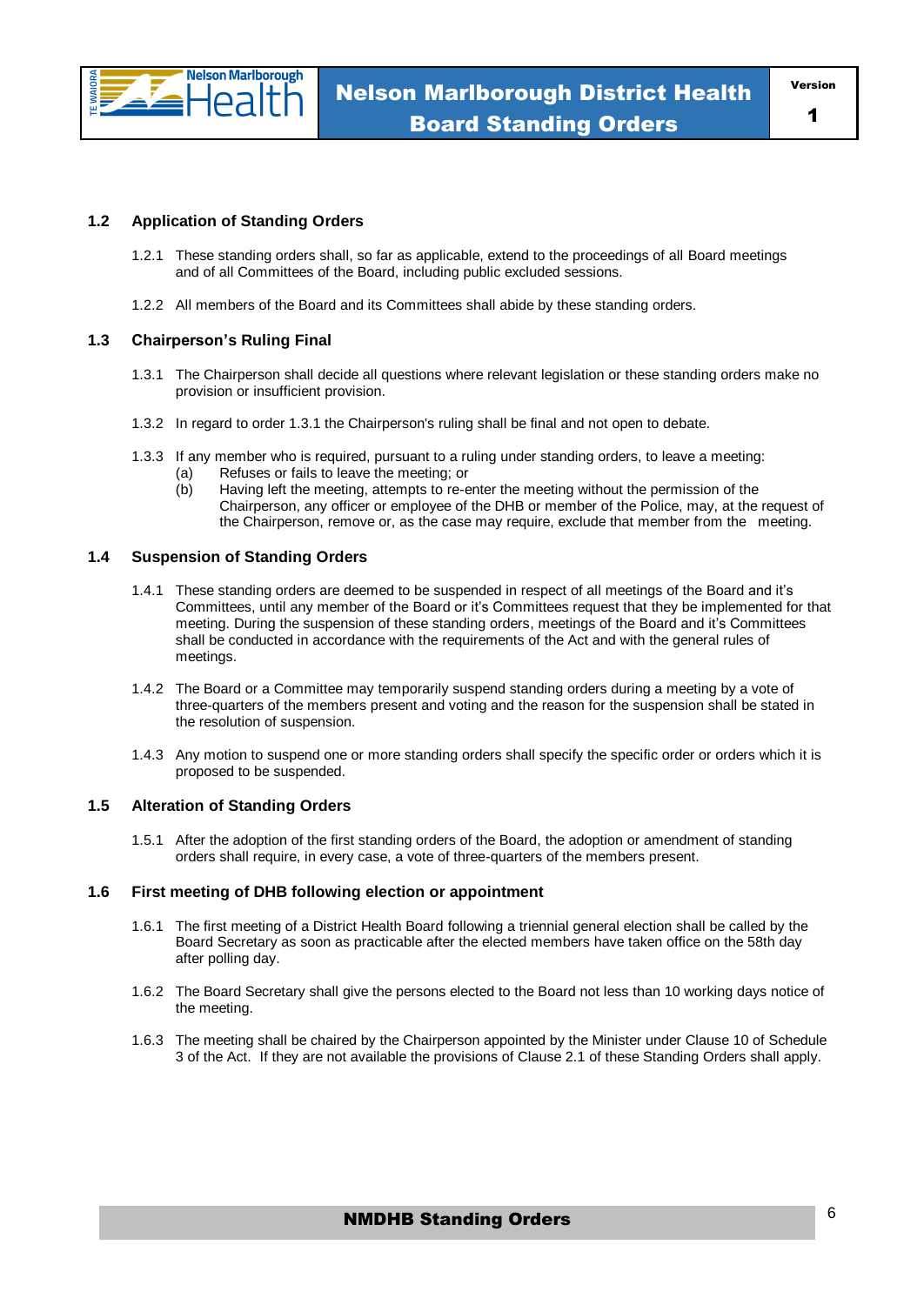

#### **1.2 Application of Standing Orders**

- 1.2.1 These standing orders shall, so far as applicable, extend to the proceedings of all Board meetings and of all Committees of the Board, including public excluded sessions.
- 1.2.2 All members of the Board and its Committees shall abide by these standing orders.

#### **1.3 Chairperson's Ruling Final**

- 1.3.1 The Chairperson shall decide all questions where relevant legislation or these standing orders make no provision or insufficient provision.
- 1.3.2 In regard to order 1.3.1 the Chairperson's ruling shall be final and not open to debate.
- 1.3.3 If any member who is required, pursuant to a ruling under standing orders, to leave a meeting: (a) Refuses or fails to leave the meeting; or
	- (b) Having left the meeting, attempts to re-enter the meeting without the permission of the Chairperson, any officer or employee of the DHB or member of the Police, may, at the request of the Chairperson, remove or, as the case may require, exclude that member from the meeting.

#### **1.4 Suspension of Standing Orders**

- 1.4.1 These standing orders are deemed to be suspended in respect of all meetings of the Board and it's Committees, until any member of the Board or it's Committees request that they be implemented for that meeting. During the suspension of these standing orders, meetings of the Board and it's Committees shall be conducted in accordance with the requirements of the Act and with the general rules of meetings.
- 1.4.2 The Board or a Committee may temporarily suspend standing orders during a meeting by a vote of three-quarters of the members present and voting and the reason for the suspension shall be stated in the resolution of suspension.
- 1.4.3 Any motion to suspend one or more standing orders shall specify the specific order or orders which it is proposed to be suspended.

#### **1.5 Alteration of Standing Orders**

1.5.1 After the adoption of the first standing orders of the Board, the adoption or amendment of standing orders shall require, in every case, a vote of three-quarters of the members present.

#### **1.6 First meeting of DHB following election or appointment**

- 1.6.1 The first meeting of a District Health Board following a triennial general election shall be called by the Board Secretary as soon as practicable after the elected members have taken office on the 58th day after polling day.
- 1.6.2 The Board Secretary shall give the persons elected to the Board not less than 10 working days notice of the meeting.
- 1.6.3 The meeting shall be chaired by the Chairperson appointed by the Minister under Clause 10 of Schedule 3 of the Act. If they are not available the provisions of Clause 2.1 of these Standing Orders shall apply.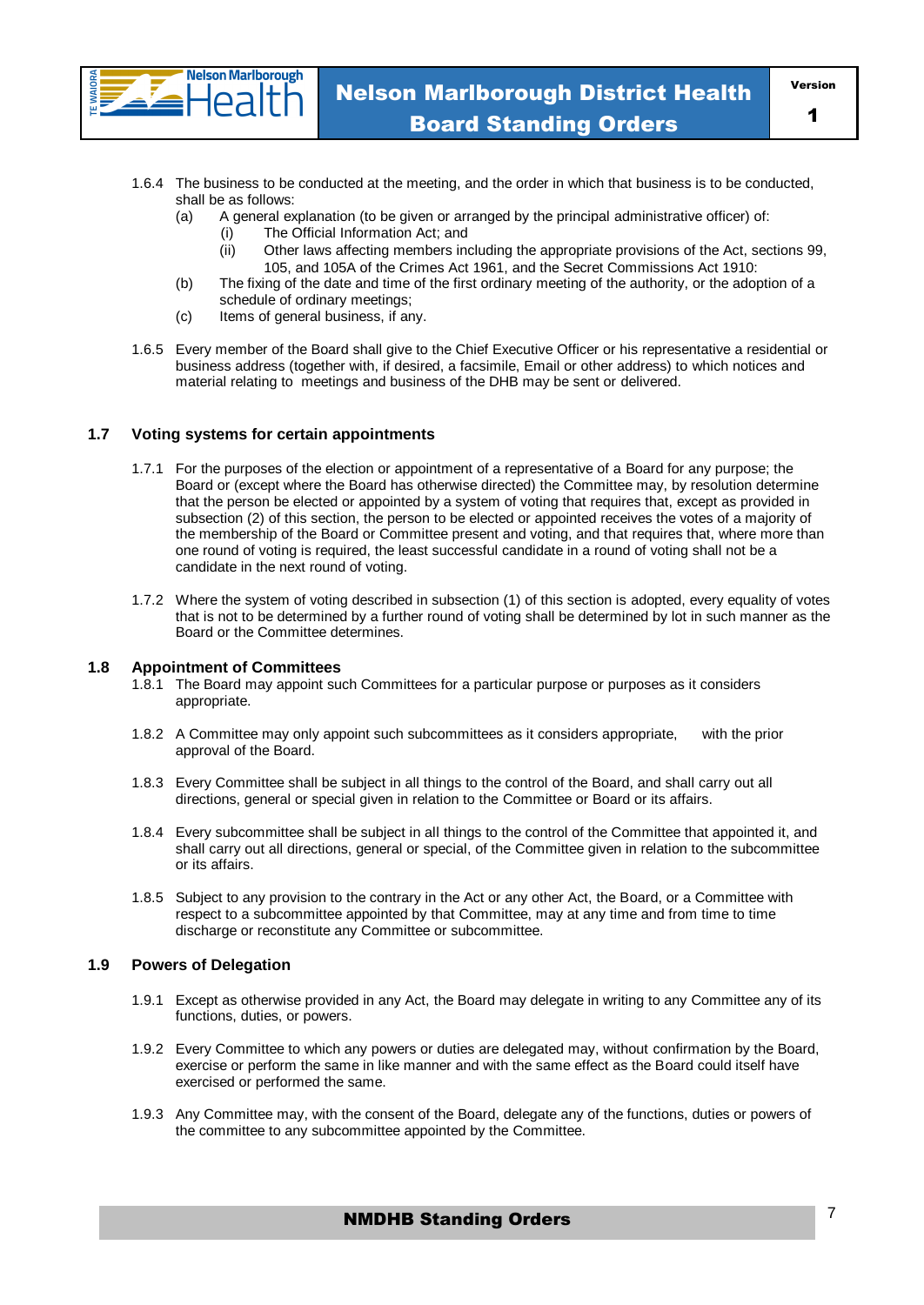

- 1.6.4 The business to be conducted at the meeting, and the order in which that business is to be conducted, shall be as follows:
	- (a) A general explanation (to be given or arranged by the principal administrative officer) of:
		- (i) The Official Information Act; and
		- (ii) Other laws affecting members including the appropriate provisions of the Act, sections 99, 105, and 105A of the Crimes Act 1961, and the Secret Commissions Act 1910:
	- (b) The fixing of the date and time of the first ordinary meeting of the authority, or the adoption of a schedule of ordinary meetings;
	- (c) Items of general business, if any.
- 1.6.5 Every member of the Board shall give to the Chief Executive Officer or his representative a residential or business address (together with, if desired, a facsimile, Email or other address) to which notices and material relating to meetings and business of the DHB may be sent or delivered.

#### **1.7 Voting systems for certain appointments**

**Nelson Marlborough** lea

- 1.7.1 For the purposes of the election or appointment of a representative of a Board for any purpose; the Board or (except where the Board has otherwise directed) the Committee may, by resolution determine that the person be elected or appointed by a system of voting that requires that, except as provided in subsection (2) of this section, the person to be elected or appointed receives the votes of a majority of the membership of the Board or Committee present and voting, and that requires that, where more than one round of voting is required, the least successful candidate in a round of voting shall not be a candidate in the next round of voting.
- 1.7.2 Where the system of voting described in subsection (1) of this section is adopted, every equality of votes that is not to be determined by a further round of voting shall be determined by lot in such manner as the Board or the Committee determines.

#### **1.8 Appointment of Committees**

- 1.8.1 The Board may appoint such Committees for a particular purpose or purposes as it considers appropriate.
- 1.8.2 A Committee may only appoint such subcommittees as it considers appropriate, with the prior approval of the Board.
- 1.8.3 Every Committee shall be subject in all things to the control of the Board, and shall carry out all directions, general or special given in relation to the Committee or Board or its affairs.
- 1.8.4 Every subcommittee shall be subject in all things to the control of the Committee that appointed it, and shall carry out all directions, general or special, of the Committee given in relation to the subcommittee or its affairs.
- 1.8.5 Subject to any provision to the contrary in the Act or any other Act, the Board, or a Committee with respect to a subcommittee appointed by that Committee, may at any time and from time to time discharge or reconstitute any Committee or subcommittee.

#### **1.9 Powers of Delegation**

- 1.9.1 Except as otherwise provided in any Act, the Board may delegate in writing to any Committee any of its functions, duties, or powers.
- 1.9.2 Every Committee to which any powers or duties are delegated may, without confirmation by the Board, exercise or perform the same in like manner and with the same effect as the Board could itself have exercised or performed the same.
- 1.9.3 Any Committee may, with the consent of the Board, delegate any of the functions, duties or powers of the committee to any subcommittee appointed by the Committee.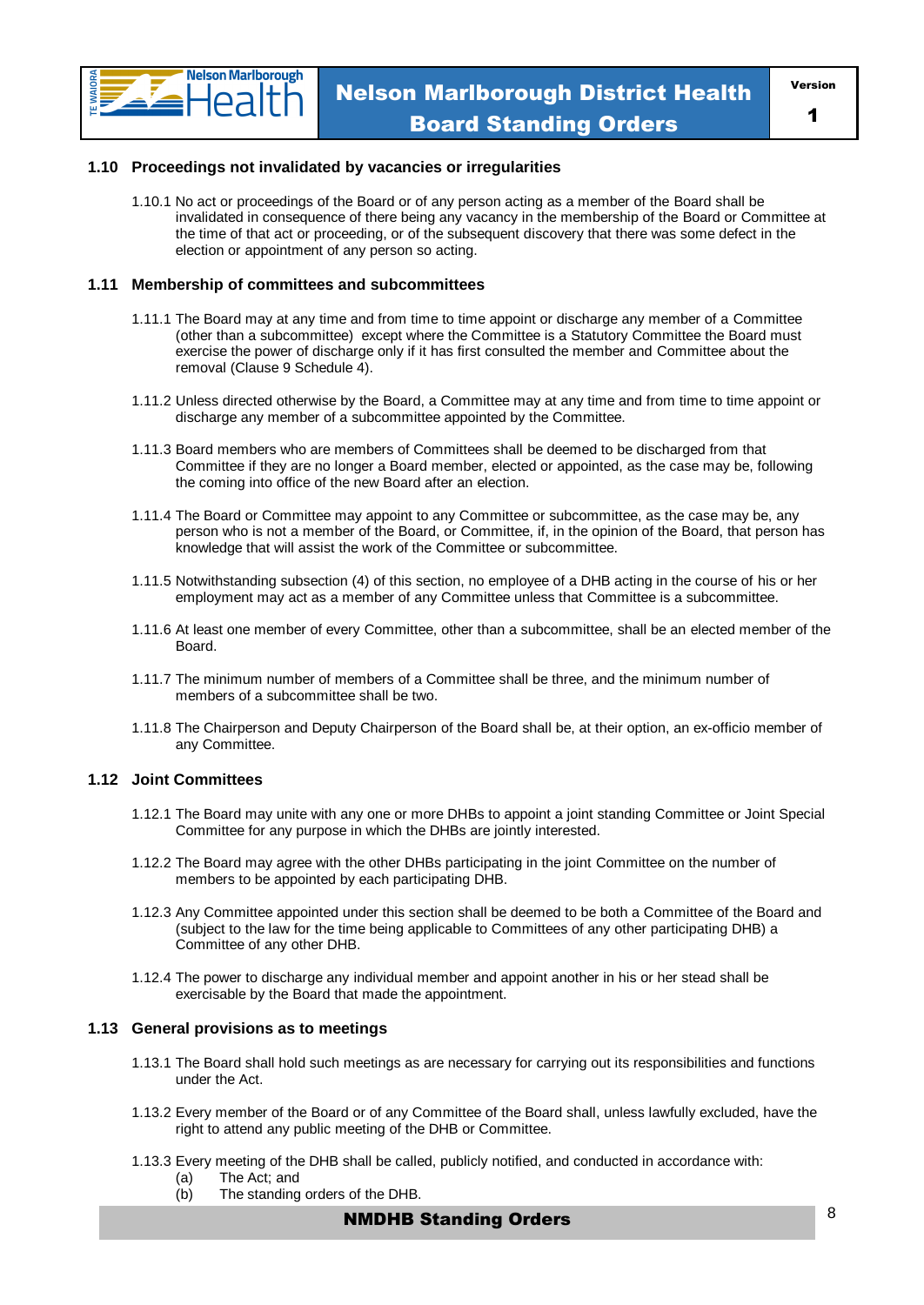

#### **1.10 Proceedings not invalidated by vacancies or irregularities**

1.10.1 No act or proceedings of the Board or of any person acting as a member of the Board shall be invalidated in consequence of there being any vacancy in the membership of the Board or Committee at the time of that act or proceeding, or of the subsequent discovery that there was some defect in the election or appointment of any person so acting.

#### **1.11 Membership of committees and subcommittees**

- 1.11.1 The Board may at any time and from time to time appoint or discharge any member of a Committee (other than a subcommittee) except where the Committee is a Statutory Committee the Board must exercise the power of discharge only if it has first consulted the member and Committee about the removal (Clause 9 Schedule 4).
- 1.11.2 Unless directed otherwise by the Board, a Committee may at any time and from time to time appoint or discharge any member of a subcommittee appointed by the Committee.
- 1.11.3 Board members who are members of Committees shall be deemed to be discharged from that Committee if they are no longer a Board member, elected or appointed, as the case may be, following the coming into office of the new Board after an election.
- 1.11.4 The Board or Committee may appoint to any Committee or subcommittee, as the case may be, any person who is not a member of the Board, or Committee, if, in the opinion of the Board, that person has knowledge that will assist the work of the Committee or subcommittee.
- 1.11.5 Notwithstanding subsection (4) of this section, no employee of a DHB acting in the course of his or her employment may act as a member of any Committee unless that Committee is a subcommittee.
- 1.11.6 At least one member of every Committee, other than a subcommittee, shall be an elected member of the Board.
- 1.11.7 The minimum number of members of a Committee shall be three, and the minimum number of members of a subcommittee shall be two.
- 1.11.8 The Chairperson and Deputy Chairperson of the Board shall be, at their option, an ex-officio member of any Committee.

#### **1.12 Joint Committees**

- 1.12.1 The Board may unite with any one or more DHBs to appoint a joint standing Committee or Joint Special Committee for any purpose in which the DHBs are jointly interested.
- 1.12.2 The Board may agree with the other DHBs participating in the joint Committee on the number of members to be appointed by each participating DHB.
- 1.12.3 Any Committee appointed under this section shall be deemed to be both a Committee of the Board and (subject to the law for the time being applicable to Committees of any other participating DHB) a Committee of any other DHB.
- 1.12.4 The power to discharge any individual member and appoint another in his or her stead shall be exercisable by the Board that made the appointment.

#### **1.13 General provisions as to meetings**

- 1.13.1 The Board shall hold such meetings as are necessary for carrying out its responsibilities and functions under the Act.
- 1.13.2 Every member of the Board or of any Committee of the Board shall, unless lawfully excluded, have the right to attend any public meeting of the DHB or Committee.
- 1.13.3 Every meeting of the DHB shall be called, publicly notified, and conducted in accordance with:
	- (a) The Act; and
	- (b) The standing orders of the DHB.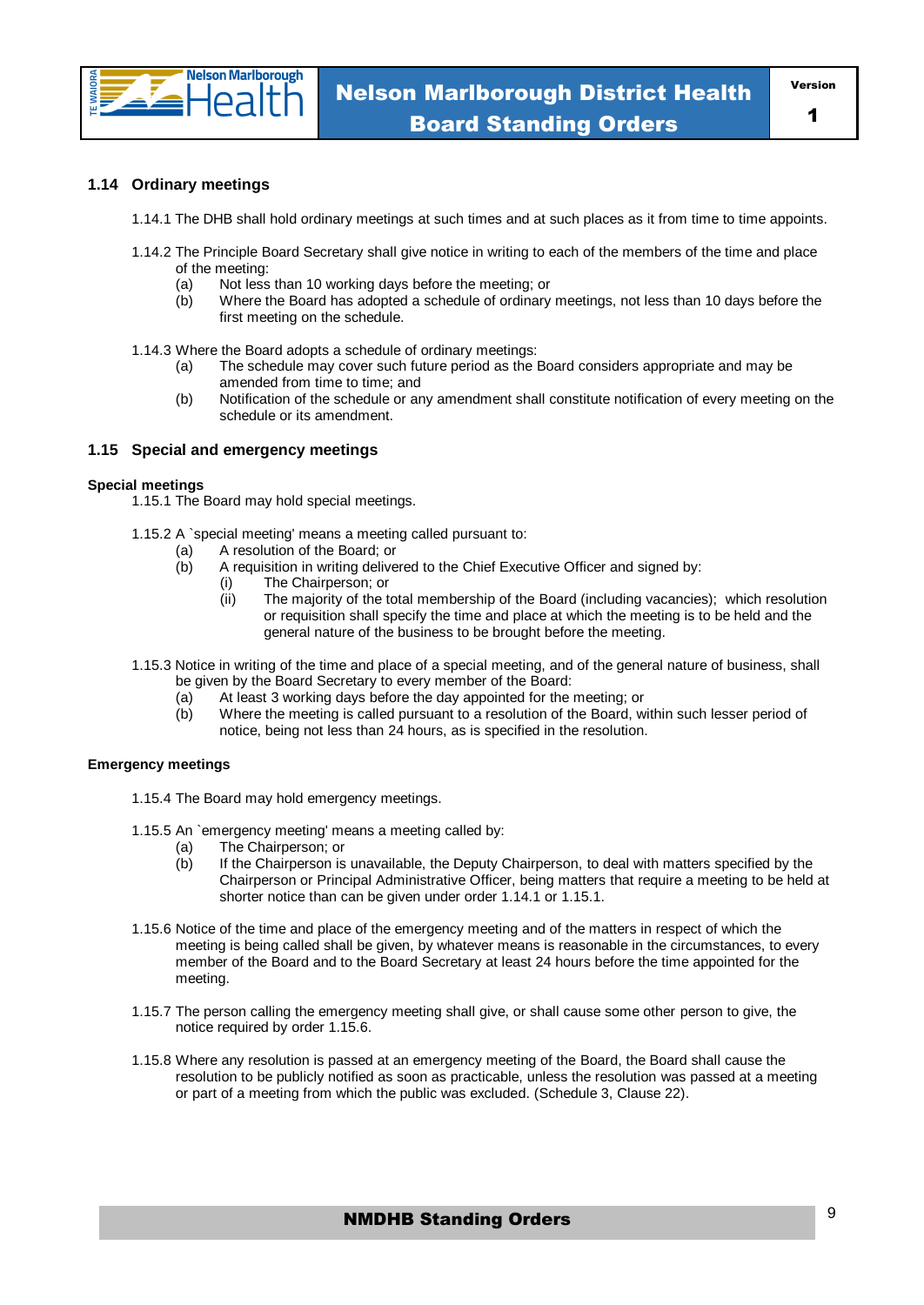

#### **1.14 Ordinary meetings**

- 1.14.1 The DHB shall hold ordinary meetings at such times and at such places as it from time to time appoints.
- 1.14.2 The Principle Board Secretary shall give notice in writing to each of the members of the time and place of the meeting:
	- (a) Not less than 10 working days before the meeting; or
	- (b) Where the Board has adopted a schedule of ordinary meetings, not less than 10 days before the first meeting on the schedule.
- 1.14.3 Where the Board adopts a schedule of ordinary meetings:
	- (a) The schedule may cover such future period as the Board considers appropriate and may be amended from time to time; and
	- (b) Notification of the schedule or any amendment shall constitute notification of every meeting on the schedule or its amendment.

#### **1.15 Special and emergency meetings**

#### **Special meetings**

1.15.1 The Board may hold special meetings.

- 1.15.2 A `special meeting' means a meeting called pursuant to:
	- (a) A resolution of the Board; or<br>(b) A requisition in writing delive
		- A requisition in writing delivered to the Chief Executive Officer and signed by:
			- (i) The Chairperson; or
				- (ii) The majority of the total membership of the Board (including vacancies); which resolution or requisition shall specify the time and place at which the meeting is to be held and the general nature of the business to be brought before the meeting.
- 1.15.3 Notice in writing of the time and place of a special meeting, and of the general nature of business, shall be given by the Board Secretary to every member of the Board:
	- (a) At least 3 working days before the day appointed for the meeting; or (b) Where the meeting is called pursuant to a resolution of the Board, w
	- Where the meeting is called pursuant to a resolution of the Board, within such lesser period of notice, being not less than 24 hours, as is specified in the resolution.

#### **Emergency meetings**

- 1.15.4 The Board may hold emergency meetings.
- 1.15.5 An `emergency meeting' means a meeting called by:
	- (a) The Chairperson; or
	- (b) If the Chairperson is unavailable, the Deputy Chairperson, to deal with matters specified by the Chairperson or Principal Administrative Officer, being matters that require a meeting to be held at shorter notice than can be given under order 1.14.1 or 1.15.1.
- 1.15.6 Notice of the time and place of the emergency meeting and of the matters in respect of which the meeting is being called shall be given, by whatever means is reasonable in the circumstances, to every member of the Board and to the Board Secretary at least 24 hours before the time appointed for the meeting.
- 1.15.7 The person calling the emergency meeting shall give, or shall cause some other person to give, the notice required by order 1.15.6.
- 1.15.8 Where any resolution is passed at an emergency meeting of the Board, the Board shall cause the resolution to be publicly notified as soon as practicable, unless the resolution was passed at a meeting or part of a meeting from which the public was excluded. (Schedule 3, Clause 22).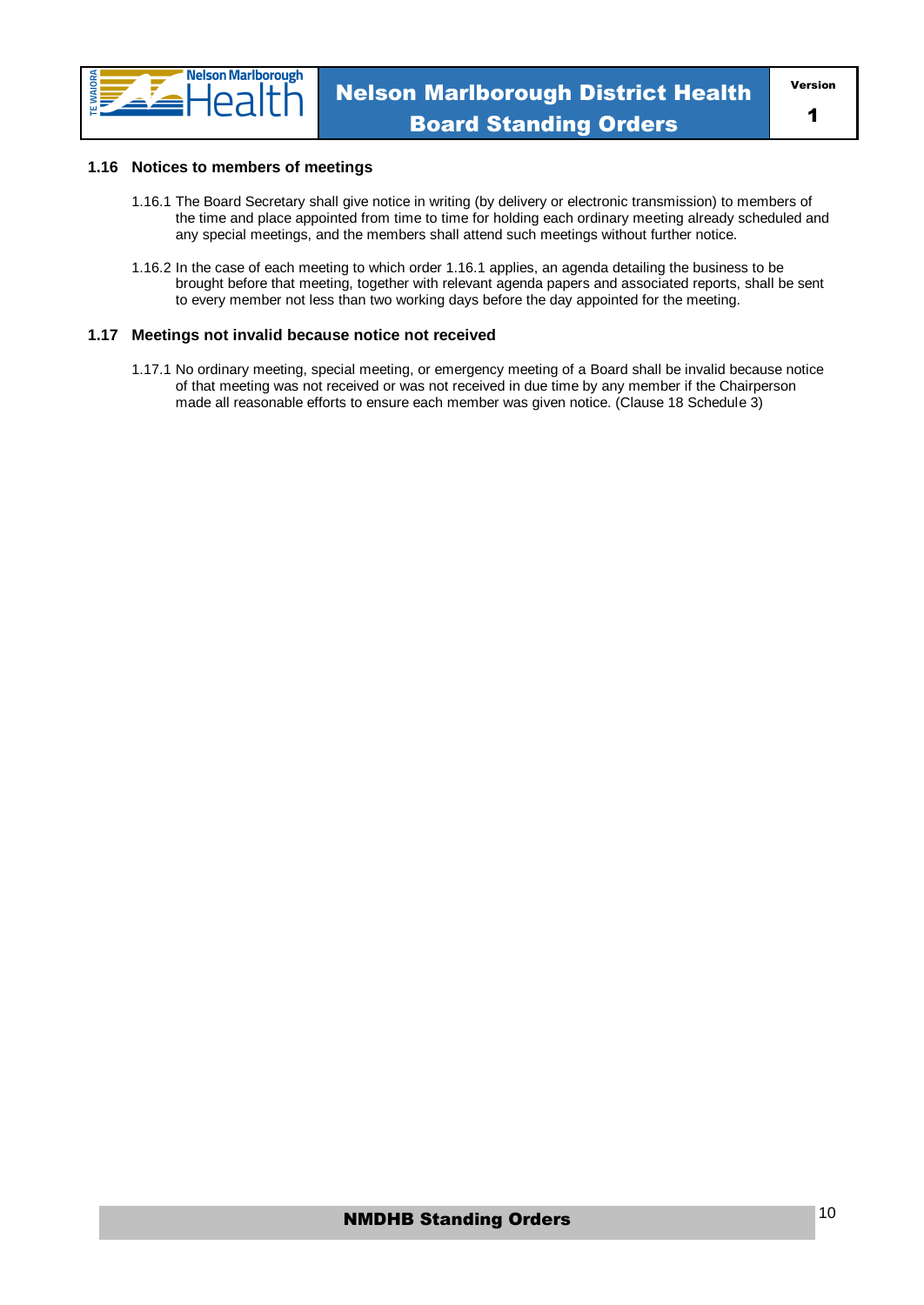

#### **1.16 Notices to members of meetings**

- 1.16.1 The Board Secretary shall give notice in writing (by delivery or electronic transmission) to members of the time and place appointed from time to time for holding each ordinary meeting already scheduled and any special meetings, and the members shall attend such meetings without further notice.
- 1.16.2 In the case of each meeting to which order 1.16.1 applies, an agenda detailing the business to be brought before that meeting, together with relevant agenda papers and associated reports, shall be sent to every member not less than two working days before the day appointed for the meeting.

#### **1.17 Meetings not invalid because notice not received**

1.17.1 No ordinary meeting, special meeting, or emergency meeting of a Board shall be invalid because notice of that meeting was not received or was not received in due time by any member if the Chairperson made all reasonable efforts to ensure each member was given notice. (Clause 18 Schedule 3)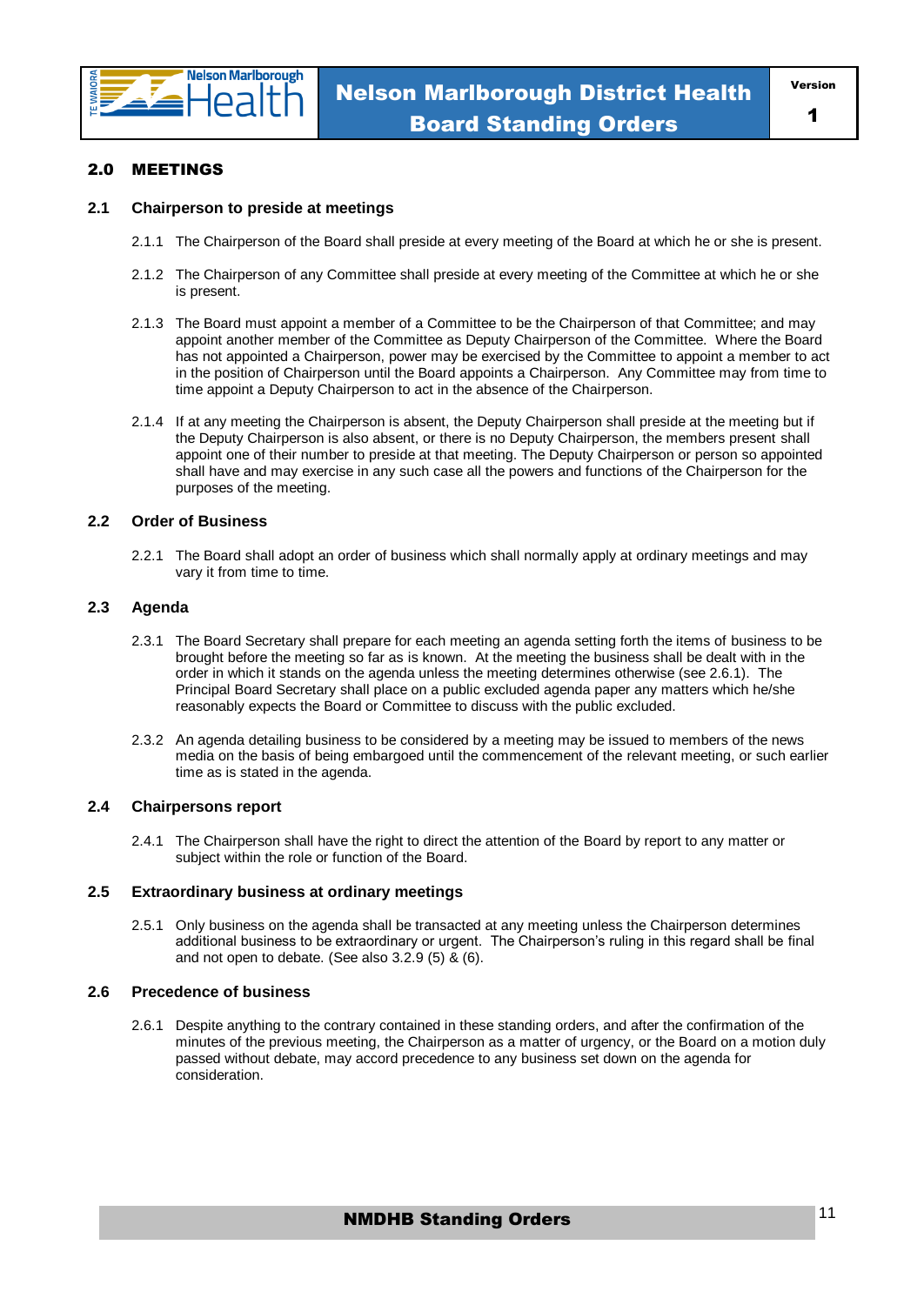

#### 2.0 MEETINGS

#### **2.1 Chairperson to preside at meetings**

- 2.1.1 The Chairperson of the Board shall preside at every meeting of the Board at which he or she is present.
- 2.1.2 The Chairperson of any Committee shall preside at every meeting of the Committee at which he or she is present.
- 2.1.3 The Board must appoint a member of a Committee to be the Chairperson of that Committee; and may appoint another member of the Committee as Deputy Chairperson of the Committee. Where the Board has not appointed a Chairperson, power may be exercised by the Committee to appoint a member to act in the position of Chairperson until the Board appoints a Chairperson. Any Committee may from time to time appoint a Deputy Chairperson to act in the absence of the Chairperson.
- 2.1.4 If at any meeting the Chairperson is absent, the Deputy Chairperson shall preside at the meeting but if the Deputy Chairperson is also absent, or there is no Deputy Chairperson, the members present shall appoint one of their number to preside at that meeting. The Deputy Chairperson or person so appointed shall have and may exercise in any such case all the powers and functions of the Chairperson for the purposes of the meeting.

#### **2.2 Order of Business**

2.2.1 The Board shall adopt an order of business which shall normally apply at ordinary meetings and may vary it from time to time.

#### **2.3 Agenda**

- 2.3.1 The Board Secretary shall prepare for each meeting an agenda setting forth the items of business to be brought before the meeting so far as is known. At the meeting the business shall be dealt with in the order in which it stands on the agenda unless the meeting determines otherwise (see 2.6.1). The Principal Board Secretary shall place on a public excluded agenda paper any matters which he/she reasonably expects the Board or Committee to discuss with the public excluded.
- 2.3.2 An agenda detailing business to be considered by a meeting may be issued to members of the news media on the basis of being embargoed until the commencement of the relevant meeting, or such earlier time as is stated in the agenda.

#### **2.4 Chairpersons report**

2.4.1 The Chairperson shall have the right to direct the attention of the Board by report to any matter or subject within the role or function of the Board.

#### **2.5 Extraordinary business at ordinary meetings**

2.5.1 Only business on the agenda shall be transacted at any meeting unless the Chairperson determines additional business to be extraordinary or urgent. The Chairperson's ruling in this regard shall be final and not open to debate. (See also 3.2.9 (5) & (6).

#### **2.6 Precedence of business**

2.6.1 Despite anything to the contrary contained in these standing orders, and after the confirmation of the minutes of the previous meeting, the Chairperson as a matter of urgency, or the Board on a motion duly passed without debate, may accord precedence to any business set down on the agenda for consideration.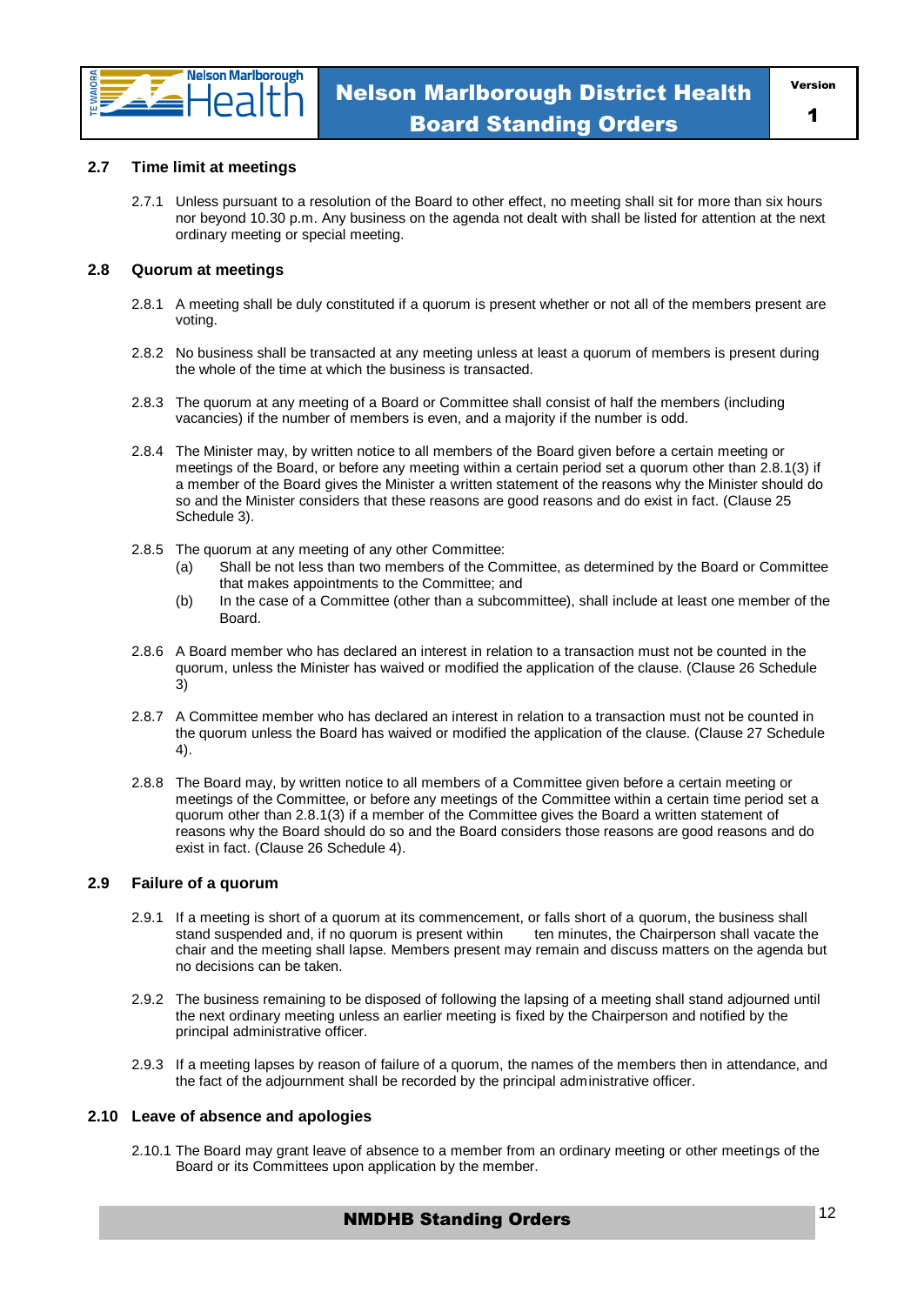

#### **2.7 Time limit at meetings**

2.7.1 Unless pursuant to a resolution of the Board to other effect, no meeting shall sit for more than six hours nor beyond 10.30 p.m. Any business on the agenda not dealt with shall be listed for attention at the next ordinary meeting or special meeting.

#### **2.8 Quorum at meetings**

- 2.8.1 A meeting shall be duly constituted if a quorum is present whether or not all of the members present are voting.
- 2.8.2 No business shall be transacted at any meeting unless at least a quorum of members is present during the whole of the time at which the business is transacted.
- 2.8.3 The quorum at any meeting of a Board or Committee shall consist of half the members (including vacancies) if the number of members is even, and a majority if the number is odd.
- 2.8.4 The Minister may, by written notice to all members of the Board given before a certain meeting or meetings of the Board, or before any meeting within a certain period set a quorum other than 2.8.1(3) if a member of the Board gives the Minister a written statement of the reasons why the Minister should do so and the Minister considers that these reasons are good reasons and do exist in fact. (Clause 25 Schedule 3).
- 2.8.5 The quorum at any meeting of any other Committee:
	- (a) Shall be not less than two members of the Committee, as determined by the Board or Committee that makes appointments to the Committee; and
	- (b) In the case of a Committee (other than a subcommittee), shall include at least one member of the Board.
- 2.8.6 A Board member who has declared an interest in relation to a transaction must not be counted in the quorum, unless the Minister has waived or modified the application of the clause. (Clause 26 Schedule 3)
- 2.8.7 A Committee member who has declared an interest in relation to a transaction must not be counted in the quorum unless the Board has waived or modified the application of the clause. (Clause 27 Schedule 4).
- 2.8.8 The Board may, by written notice to all members of a Committee given before a certain meeting or meetings of the Committee, or before any meetings of the Committee within a certain time period set a quorum other than 2.8.1(3) if a member of the Committee gives the Board a written statement of reasons why the Board should do so and the Board considers those reasons are good reasons and do exist in fact. (Clause 26 Schedule 4).

#### **2.9 Failure of a quorum**

- 2.9.1 If a meeting is short of a quorum at its commencement, or falls short of a quorum, the business shall stand suspended and, if no quorum is present within ten minutes, the Chairperson shall vacate the chair and the meeting shall lapse. Members present may remain and discuss matters on the agenda but no decisions can be taken.
- 2.9.2 The business remaining to be disposed of following the lapsing of a meeting shall stand adjourned until the next ordinary meeting unless an earlier meeting is fixed by the Chairperson and notified by the principal administrative officer.
- 2.9.3 If a meeting lapses by reason of failure of a quorum, the names of the members then in attendance, and the fact of the adjournment shall be recorded by the principal administrative officer.

#### **2.10 Leave of absence and apologies**

2.10.1 The Board may grant leave of absence to a member from an ordinary meeting or other meetings of the Board or its Committees upon application by the member.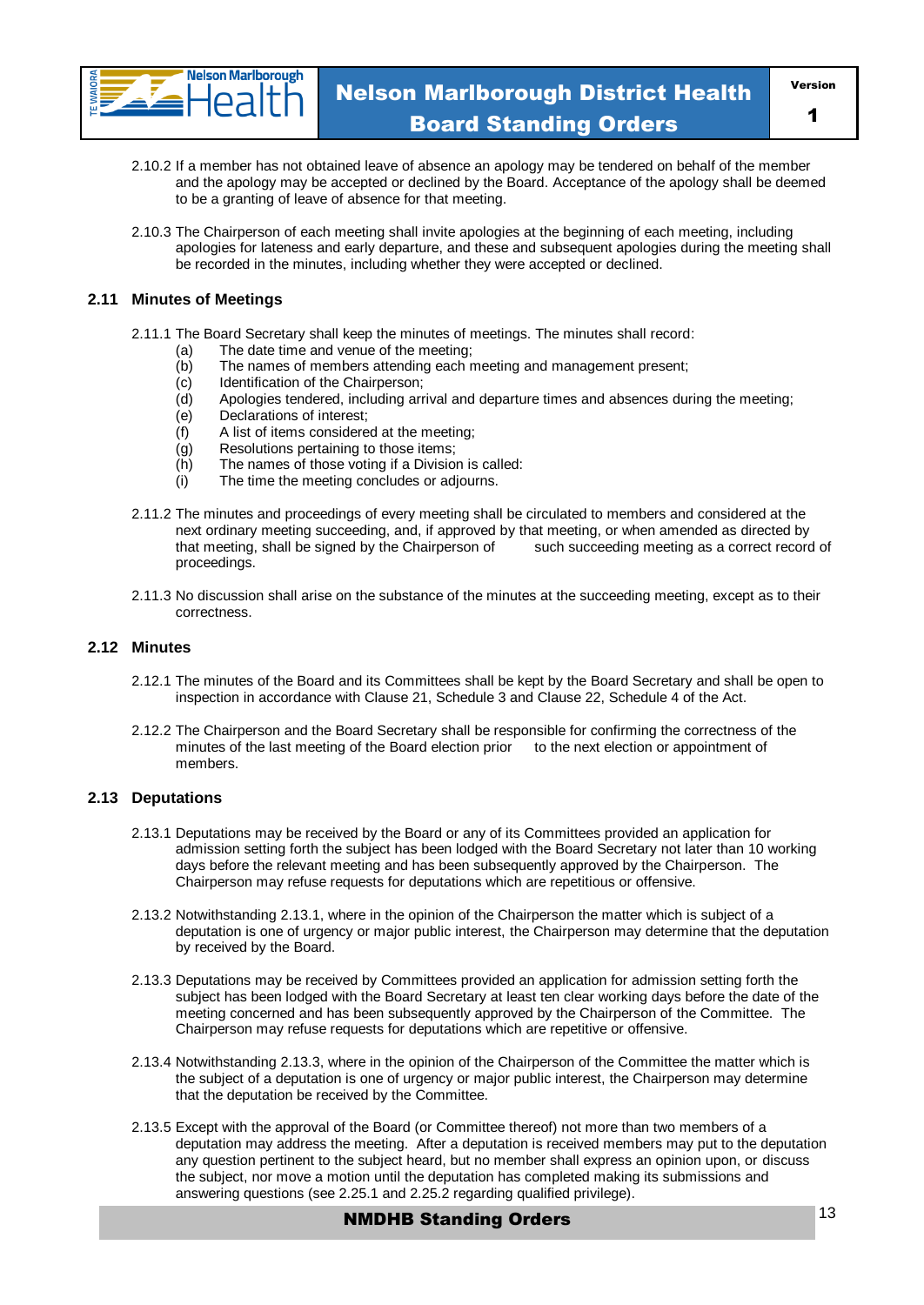

1

- 2.10.2 If a member has not obtained leave of absence an apology may be tendered on behalf of the member and the apology may be accepted or declined by the Board. Acceptance of the apology shall be deemed to be a granting of leave of absence for that meeting.
- 2.10.3 The Chairperson of each meeting shall invite apologies at the beginning of each meeting, including apologies for lateness and early departure, and these and subsequent apologies during the meeting shall be recorded in the minutes, including whether they were accepted or declined.

#### **2.11 Minutes of Meetings**

- 2.11.1 The Board Secretary shall keep the minutes of meetings. The minutes shall record:
	- (a) The date time and venue of the meeting;
	- (b) The names of members attending each meeting and management present;
	- (c) Identification of the Chairperson;
	- (d) Apologies tendered, including arrival and departure times and absences during the meeting;
	- (e) Declarations of interest;
	- $(f)$  A list of items considered at the meeting;
	- (g) Resolutions pertaining to those items;
	- (h) The names of those voting if a Division is called:
	- (i) The time the meeting concludes or adjourns.
- 2.11.2 The minutes and proceedings of every meeting shall be circulated to members and considered at the next ordinary meeting succeeding, and, if approved by that meeting, or when amended as directed by that meeting, shall be signed by the Chairperson of such succeeding meeting as a correct record of proceedings.
- 2.11.3 No discussion shall arise on the substance of the minutes at the succeeding meeting, except as to their correctness.

#### **2.12 Minutes**

- 2.12.1 The minutes of the Board and its Committees shall be kept by the Board Secretary and shall be open to inspection in accordance with Clause 21, Schedule 3 and Clause 22, Schedule 4 of the Act.
- 2.12.2 The Chairperson and the Board Secretary shall be responsible for confirming the correctness of the minutes of the last meeting of the Board election prior to the next election or appointment of members.

#### **2.13 Deputations**

- 2.13.1 Deputations may be received by the Board or any of its Committees provided an application for admission setting forth the subject has been lodged with the Board Secretary not later than 10 working days before the relevant meeting and has been subsequently approved by the Chairperson. The Chairperson may refuse requests for deputations which are repetitious or offensive.
- 2.13.2 Notwithstanding 2.13.1, where in the opinion of the Chairperson the matter which is subject of a deputation is one of urgency or major public interest, the Chairperson may determine that the deputation by received by the Board.
- 2.13.3 Deputations may be received by Committees provided an application for admission setting forth the subject has been lodged with the Board Secretary at least ten clear working days before the date of the meeting concerned and has been subsequently approved by the Chairperson of the Committee. The Chairperson may refuse requests for deputations which are repetitive or offensive.
- 2.13.4 Notwithstanding 2.13.3, where in the opinion of the Chairperson of the Committee the matter which is the subject of a deputation is one of urgency or major public interest, the Chairperson may determine that the deputation be received by the Committee.
- 2.13.5 Except with the approval of the Board (or Committee thereof) not more than two members of a deputation may address the meeting. After a deputation is received members may put to the deputation any question pertinent to the subject heard, but no member shall express an opinion upon, or discuss the subject, nor move a motion until the deputation has completed making its submissions and answering questions (see 2.25.1 and 2.25.2 regarding qualified privilege).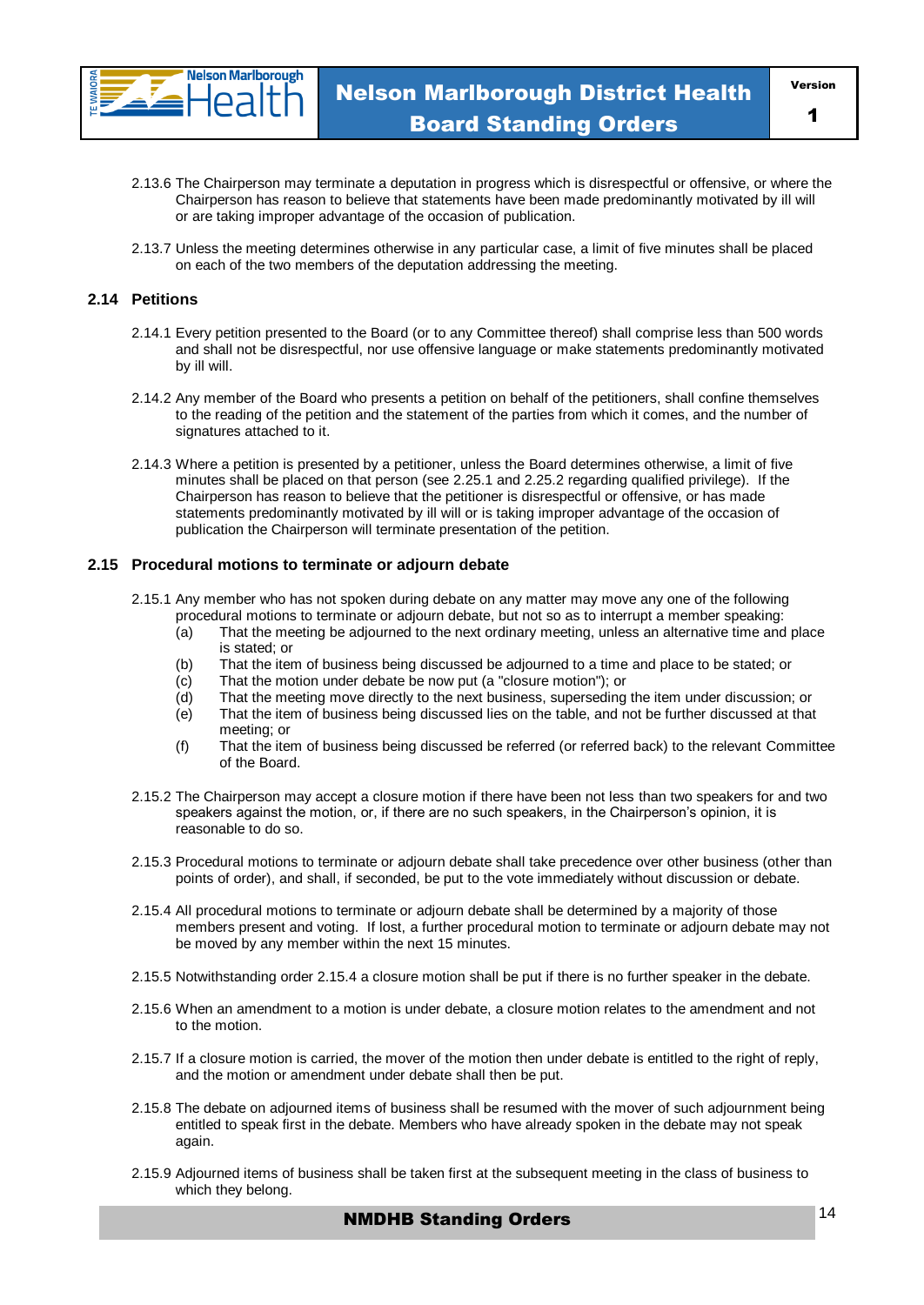

- 2.13.6 The Chairperson may terminate a deputation in progress which is disrespectful or offensive, or where the Chairperson has reason to believe that statements have been made predominantly motivated by ill will or are taking improper advantage of the occasion of publication.
- 2.13.7 Unless the meeting determines otherwise in any particular case, a limit of five minutes shall be placed on each of the two members of the deputation addressing the meeting.

#### **2.14 Petitions**

- 2.14.1 Every petition presented to the Board (or to any Committee thereof) shall comprise less than 500 words and shall not be disrespectful, nor use offensive language or make statements predominantly motivated by ill will.
- 2.14.2 Any member of the Board who presents a petition on behalf of the petitioners, shall confine themselves to the reading of the petition and the statement of the parties from which it comes, and the number of signatures attached to it.
- 2.14.3 Where a petition is presented by a petitioner, unless the Board determines otherwise, a limit of five minutes shall be placed on that person (see 2.25.1 and 2.25.2 regarding qualified privilege). If the Chairperson has reason to believe that the petitioner is disrespectful or offensive, or has made statements predominantly motivated by ill will or is taking improper advantage of the occasion of publication the Chairperson will terminate presentation of the petition.

#### **2.15 Procedural motions to terminate or adjourn debate**

- 2.15.1 Any member who has not spoken during debate on any matter may move any one of the following procedural motions to terminate or adjourn debate, but not so as to interrupt a member speaking:
	- (a) That the meeting be adjourned to the next ordinary meeting, unless an alternative time and place is stated; or
	- (b) That the item of business being discussed be adjourned to a time and place to be stated; or
	-
	- (c) That the motion under debate be now put (a "closure motion"); or (d) That the meeting move directly to the next business, superseding That the meeting move directly to the next business, superseding the item under discussion; or
	- (e) That the item of business being discussed lies on the table, and not be further discussed at that meeting; or
	- (f) That the item of business being discussed be referred (or referred back) to the relevant Committee of the Board.
- 2.15.2 The Chairperson may accept a closure motion if there have been not less than two speakers for and two speakers against the motion, or, if there are no such speakers, in the Chairperson's opinion, it is reasonable to do so.
- 2.15.3 Procedural motions to terminate or adjourn debate shall take precedence over other business (other than points of order), and shall, if seconded, be put to the vote immediately without discussion or debate.
- 2.15.4 All procedural motions to terminate or adjourn debate shall be determined by a majority of those members present and voting. If lost, a further procedural motion to terminate or adjourn debate may not be moved by any member within the next 15 minutes.
- 2.15.5 Notwithstanding order 2.15.4 a closure motion shall be put if there is no further speaker in the debate.
- 2.15.6 When an amendment to a motion is under debate, a closure motion relates to the amendment and not to the motion.
- 2.15.7 If a closure motion is carried, the mover of the motion then under debate is entitled to the right of reply, and the motion or amendment under debate shall then be put.
- 2.15.8 The debate on adjourned items of business shall be resumed with the mover of such adjournment being entitled to speak first in the debate. Members who have already spoken in the debate may not speak again.
- 2.15.9 Adjourned items of business shall be taken first at the subsequent meeting in the class of business to which they belong.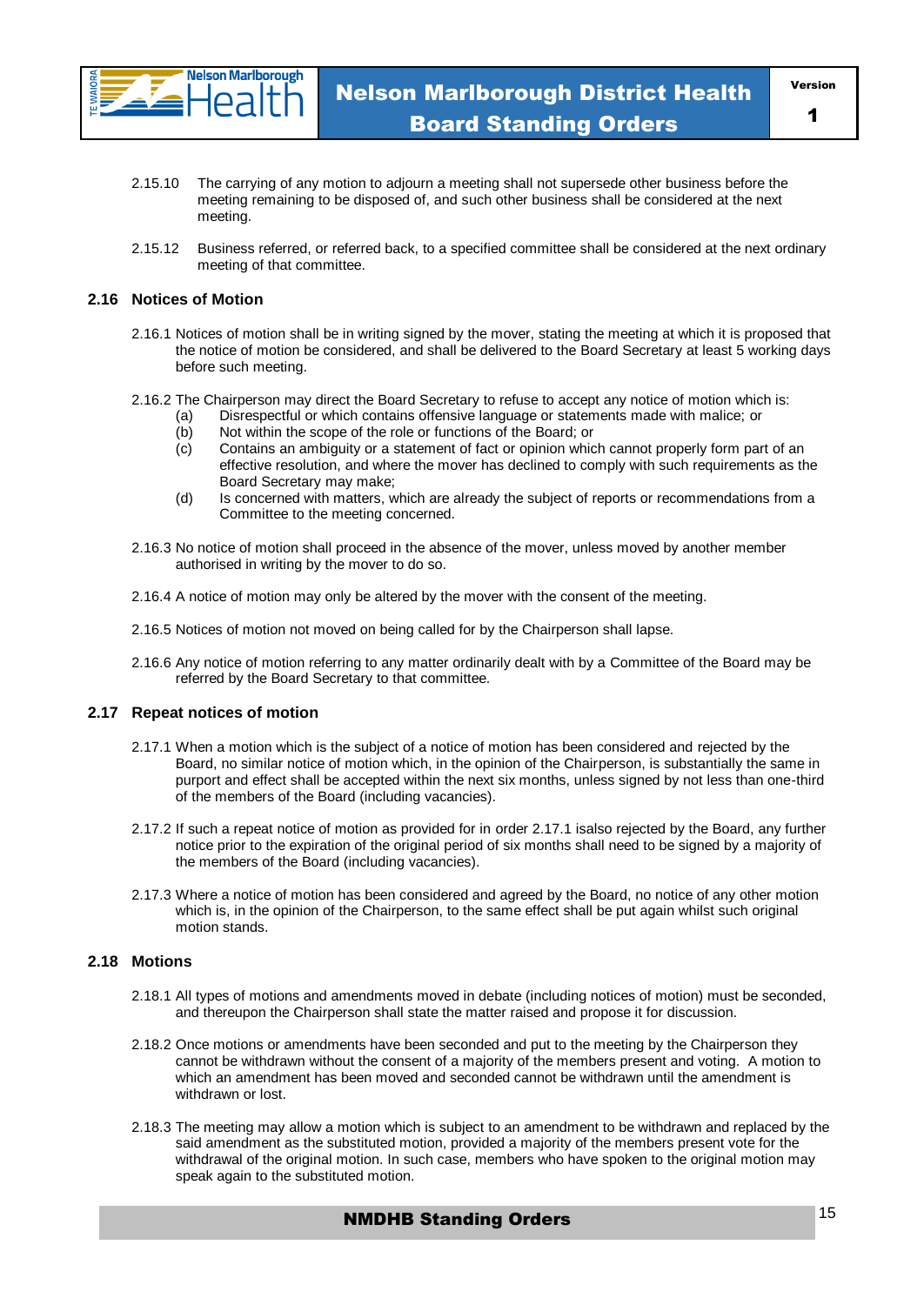

- 2.15.10 The carrying of any motion to adjourn a meeting shall not supersede other business before the meeting remaining to be disposed of, and such other business shall be considered at the next meeting.
- 2.15.12 Business referred, or referred back, to a specified committee shall be considered at the next ordinary meeting of that committee.

#### **2.16 Notices of Motion**

- 2.16.1 Notices of motion shall be in writing signed by the mover, stating the meeting at which it is proposed that the notice of motion be considered, and shall be delivered to the Board Secretary at least 5 working days before such meeting.
- 2.16.2 The Chairperson may direct the Board Secretary to refuse to accept any notice of motion which is:
	- (a) Disrespectful or which contains offensive language or statements made with malice; or Not within the scope of the role or functions of the Board; or
	- (c) Contains an ambiguity or a statement of fact or opinion which cannot properly form part of an effective resolution, and where the mover has declined to comply with such requirements as the Board Secretary may make;
	- (d) Is concerned with matters, which are already the subject of reports or recommendations from a Committee to the meeting concerned.
- 2.16.3 No notice of motion shall proceed in the absence of the mover, unless moved by another member authorised in writing by the mover to do so.
- 2.16.4 A notice of motion may only be altered by the mover with the consent of the meeting.
- 2.16.5 Notices of motion not moved on being called for by the Chairperson shall lapse.
- 2.16.6 Any notice of motion referring to any matter ordinarily dealt with by a Committee of the Board may be referred by the Board Secretary to that committee.

#### **2.17 Repeat notices of motion**

- 2.17.1 When a motion which is the subject of a notice of motion has been considered and rejected by the Board, no similar notice of motion which, in the opinion of the Chairperson, is substantially the same in purport and effect shall be accepted within the next six months, unless signed by not less than one-third of the members of the Board (including vacancies).
- 2.17.2 If such a repeat notice of motion as provided for in order 2.17.1 isalso rejected by the Board, any further notice prior to the expiration of the original period of six months shall need to be signed by a majority of the members of the Board (including vacancies).
- 2.17.3 Where a notice of motion has been considered and agreed by the Board, no notice of any other motion which is, in the opinion of the Chairperson, to the same effect shall be put again whilst such original motion stands.

#### **2.18 Motions**

- 2.18.1 All types of motions and amendments moved in debate (including notices of motion) must be seconded, and thereupon the Chairperson shall state the matter raised and propose it for discussion.
- 2.18.2 Once motions or amendments have been seconded and put to the meeting by the Chairperson they cannot be withdrawn without the consent of a majority of the members present and voting. A motion to which an amendment has been moved and seconded cannot be withdrawn until the amendment is withdrawn or lost.
- 2.18.3 The meeting may allow a motion which is subject to an amendment to be withdrawn and replaced by the said amendment as the substituted motion, provided a majority of the members present vote for the withdrawal of the original motion. In such case, members who have spoken to the original motion may speak again to the substituted motion.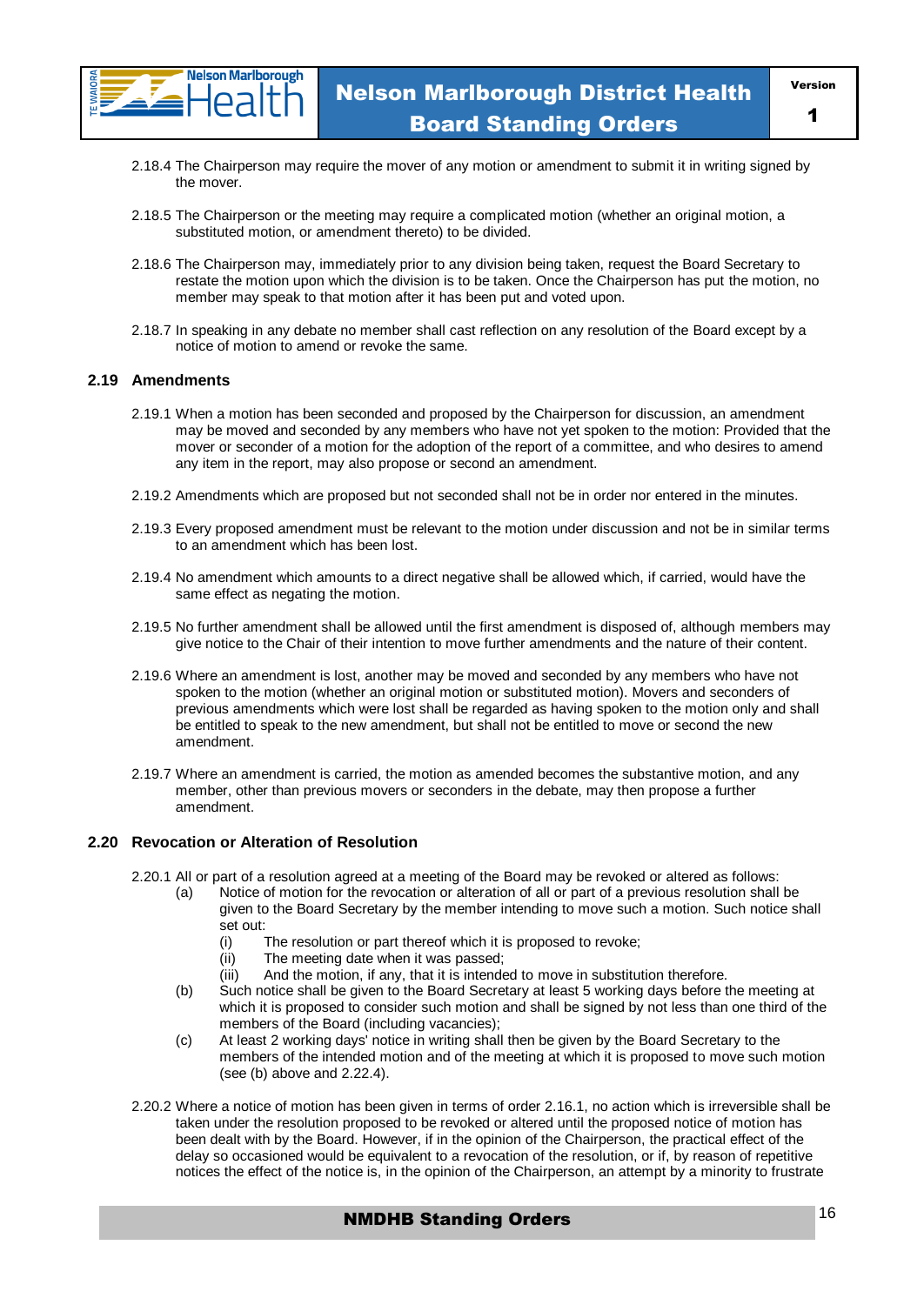

- 2.18.4 The Chairperson may require the mover of any motion or amendment to submit it in writing signed by the mover.
- 2.18.5 The Chairperson or the meeting may require a complicated motion (whether an original motion, a substituted motion, or amendment thereto) to be divided.
- 2.18.6 The Chairperson may, immediately prior to any division being taken, request the Board Secretary to restate the motion upon which the division is to be taken. Once the Chairperson has put the motion, no member may speak to that motion after it has been put and voted upon.
- 2.18.7 In speaking in any debate no member shall cast reflection on any resolution of the Board except by a notice of motion to amend or revoke the same.

#### **2.19 Amendments**

- 2.19.1 When a motion has been seconded and proposed by the Chairperson for discussion, an amendment may be moved and seconded by any members who have not yet spoken to the motion: Provided that the mover or seconder of a motion for the adoption of the report of a committee, and who desires to amend any item in the report, may also propose or second an amendment.
- 2.19.2 Amendments which are proposed but not seconded shall not be in order nor entered in the minutes.
- 2.19.3 Every proposed amendment must be relevant to the motion under discussion and not be in similar terms to an amendment which has been lost.
- 2.19.4 No amendment which amounts to a direct negative shall be allowed which, if carried, would have the same effect as negating the motion.
- 2.19.5 No further amendment shall be allowed until the first amendment is disposed of, although members may give notice to the Chair of their intention to move further amendments and the nature of their content.
- 2.19.6 Where an amendment is lost, another may be moved and seconded by any members who have not spoken to the motion (whether an original motion or substituted motion). Movers and seconders of previous amendments which were lost shall be regarded as having spoken to the motion only and shall be entitled to speak to the new amendment, but shall not be entitled to move or second the new amendment.
- 2.19.7 Where an amendment is carried, the motion as amended becomes the substantive motion, and any member, other than previous movers or seconders in the debate, may then propose a further amendment.

#### **2.20 Revocation or Alteration of Resolution**

- 2.20.1 All or part of a resolution agreed at a meeting of the Board may be revoked or altered as follows:
	- (a) Notice of motion for the revocation or alteration of all or part of a previous resolution shall be given to the Board Secretary by the member intending to move such a motion. Such notice shall set out:
		- (i) The resolution or part thereof which it is proposed to revoke;
		- (ii) The meeting date when it was passed;
		- (iii) And the motion, if any, that it is intended to move in substitution therefore.
	- (b) Such notice shall be given to the Board Secretary at least 5 working days before the meeting at which it is proposed to consider such motion and shall be signed by not less than one third of the members of the Board (including vacancies);
	- (c) At least 2 working days' notice in writing shall then be given by the Board Secretary to the members of the intended motion and of the meeting at which it is proposed to move such motion (see (b) above and 2.22.4).
- 2.20.2 Where a notice of motion has been given in terms of order 2.16.1, no action which is irreversible shall be taken under the resolution proposed to be revoked or altered until the proposed notice of motion has been dealt with by the Board. However, if in the opinion of the Chairperson, the practical effect of the delay so occasioned would be equivalent to a revocation of the resolution, or if, by reason of repetitive notices the effect of the notice is, in the opinion of the Chairperson, an attempt by a minority to frustrate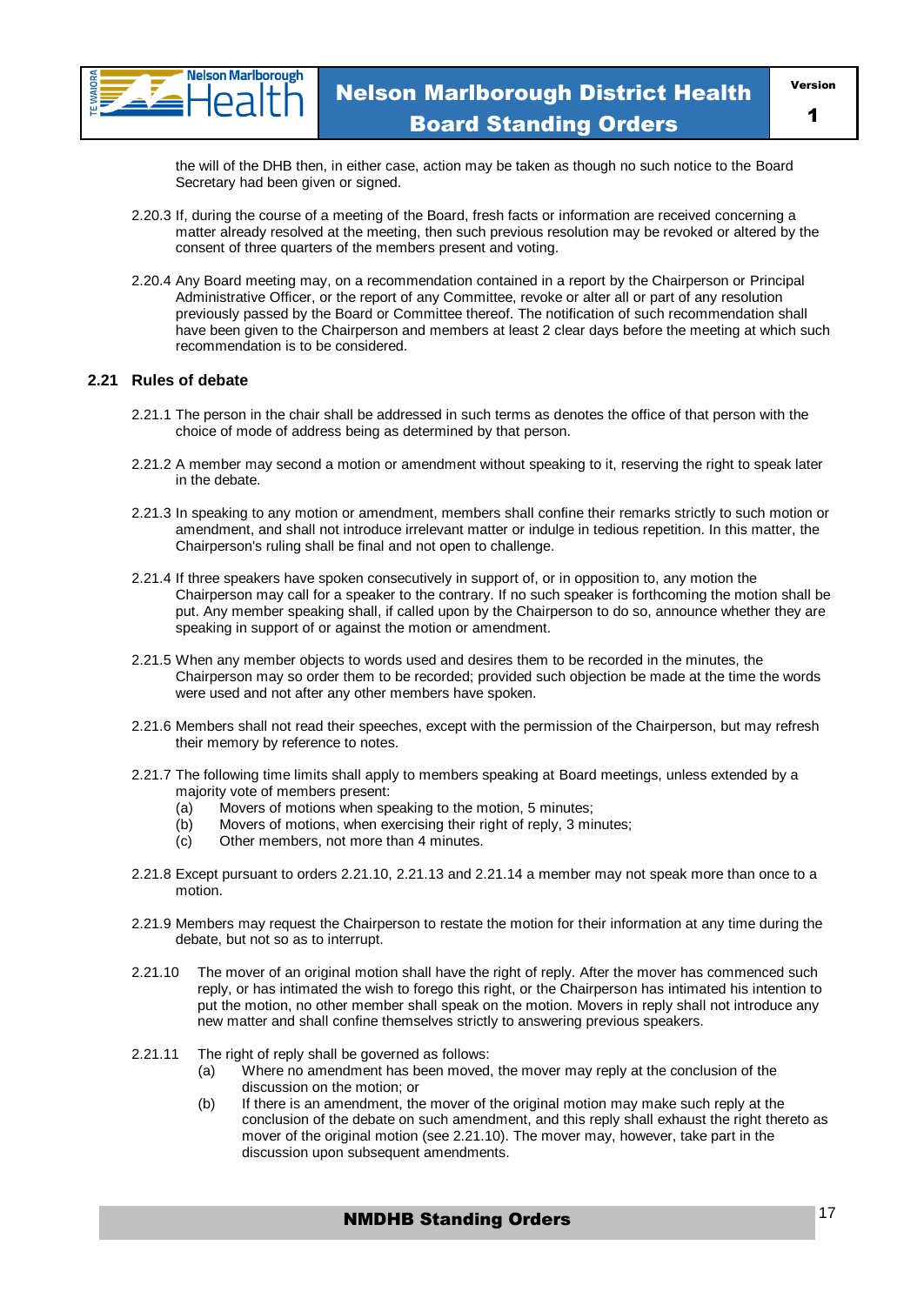

the will of the DHB then, in either case, action may be taken as though no such notice to the Board Secretary had been given or signed.

- 2.20.3 If, during the course of a meeting of the Board, fresh facts or information are received concerning a matter already resolved at the meeting, then such previous resolution may be revoked or altered by the consent of three quarters of the members present and voting.
- 2.20.4 Any Board meeting may, on a recommendation contained in a report by the Chairperson or Principal Administrative Officer, or the report of any Committee, revoke or alter all or part of any resolution previously passed by the Board or Committee thereof. The notification of such recommendation shall have been given to the Chairperson and members at least 2 clear days before the meeting at which such recommendation is to be considered.

#### **2.21 Rules of debate**

- 2.21.1 The person in the chair shall be addressed in such terms as denotes the office of that person with the choice of mode of address being as determined by that person.
- 2.21.2 A member may second a motion or amendment without speaking to it, reserving the right to speak later in the debate.
- 2.21.3 In speaking to any motion or amendment, members shall confine their remarks strictly to such motion or amendment, and shall not introduce irrelevant matter or indulge in tedious repetition. In this matter, the Chairperson's ruling shall be final and not open to challenge.
- 2.21.4 If three speakers have spoken consecutively in support of, or in opposition to, any motion the Chairperson may call for a speaker to the contrary. If no such speaker is forthcoming the motion shall be put. Any member speaking shall, if called upon by the Chairperson to do so, announce whether they are speaking in support of or against the motion or amendment.
- 2.21.5 When any member objects to words used and desires them to be recorded in the minutes, the Chairperson may so order them to be recorded; provided such objection be made at the time the words were used and not after any other members have spoken.
- 2.21.6 Members shall not read their speeches, except with the permission of the Chairperson, but may refresh their memory by reference to notes.
- 2.21.7 The following time limits shall apply to members speaking at Board meetings, unless extended by a majority vote of members present:
	- (a) Movers of motions when speaking to the motion, 5 minutes;
	- (b) Movers of motions, when exercising their right of reply, 3 minutes;
	- (c) Other members, not more than 4 minutes.
- 2.21.8 Except pursuant to orders 2.21.10, 2.21.13 and 2.21.14 a member may not speak more than once to a motion.
- 2.21.9 Members may request the Chairperson to restate the motion for their information at any time during the debate, but not so as to interrupt.
- 2.21.10 The mover of an original motion shall have the right of reply. After the mover has commenced such reply, or has intimated the wish to forego this right, or the Chairperson has intimated his intention to put the motion, no other member shall speak on the motion. Movers in reply shall not introduce any new matter and shall confine themselves strictly to answering previous speakers.
- 2.21.11 The right of reply shall be governed as follows:
	- (a) Where no amendment has been moved, the mover may reply at the conclusion of the discussion on the motion; or
	- (b) If there is an amendment, the mover of the original motion may make such reply at the conclusion of the debate on such amendment, and this reply shall exhaust the right thereto as mover of the original motion (see 2.21.10). The mover may, however, take part in the discussion upon subsequent amendments.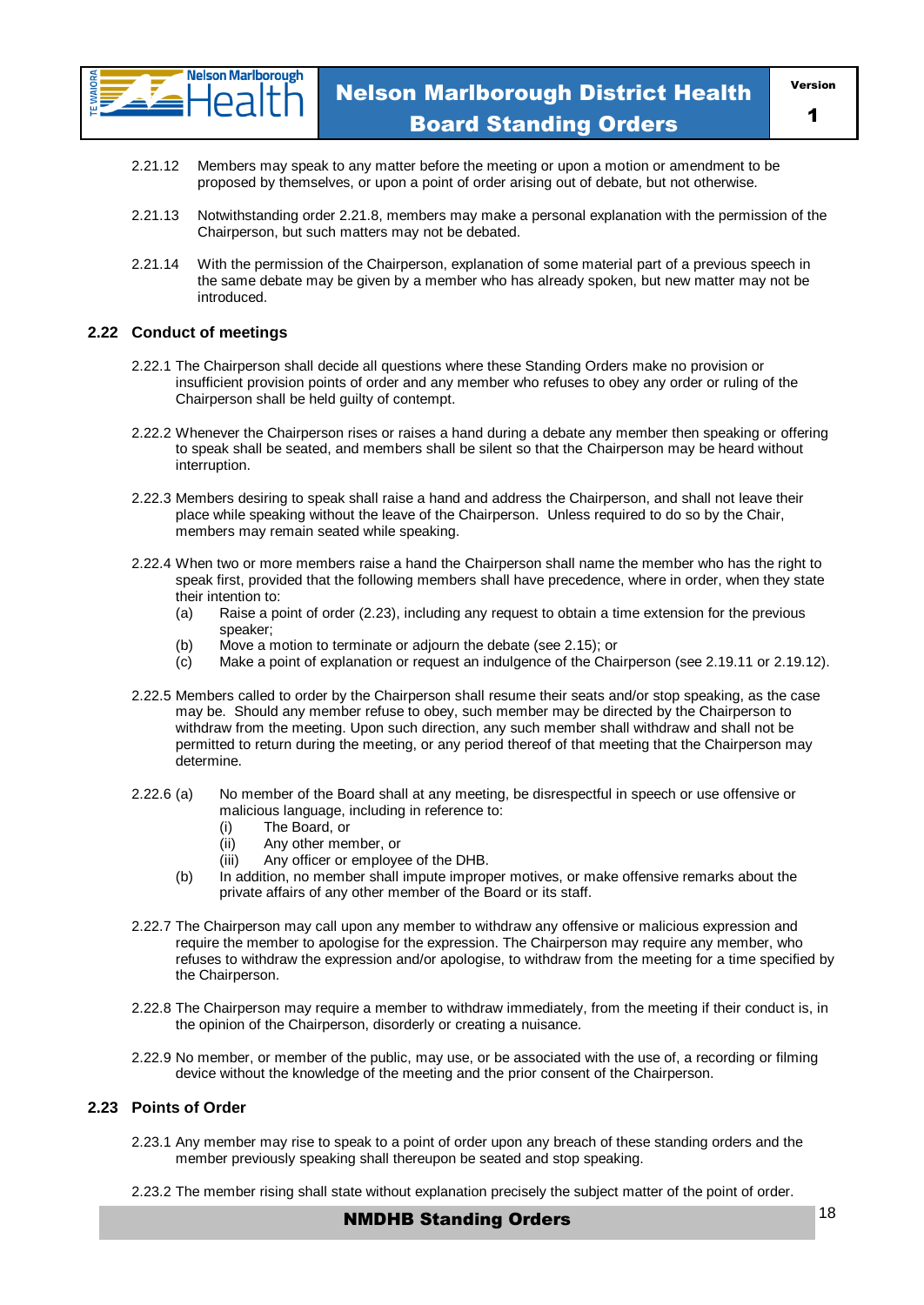

- 2.21.12 Members may speak to any matter before the meeting or upon a motion or amendment to be proposed by themselves, or upon a point of order arising out of debate, but not otherwise.
- 2.21.13 Notwithstanding order 2.21.8, members may make a personal explanation with the permission of the Chairperson, but such matters may not be debated.
- 2.21.14 With the permission of the Chairperson, explanation of some material part of a previous speech in the same debate may be given by a member who has already spoken, but new matter may not be introduced.

#### **2.22 Conduct of meetings**

- 2.22.1 The Chairperson shall decide all questions where these Standing Orders make no provision or insufficient provision points of order and any member who refuses to obey any order or ruling of the Chairperson shall be held guilty of contempt.
- 2.22.2 Whenever the Chairperson rises or raises a hand during a debate any member then speaking or offering to speak shall be seated, and members shall be silent so that the Chairperson may be heard without interruption.
- 2.22.3 Members desiring to speak shall raise a hand and address the Chairperson, and shall not leave their place while speaking without the leave of the Chairperson. Unless required to do so by the Chair, members may remain seated while speaking.
- 2.22.4 When two or more members raise a hand the Chairperson shall name the member who has the right to speak first, provided that the following members shall have precedence, where in order, when they state their intention to:
	- (a) Raise a point of order (2.23), including any request to obtain a time extension for the previous speaker;
	- (b) Move a motion to terminate or adjourn the debate (see 2.15); or
	- (c) Make a point of explanation or request an indulgence of the Chairperson (see 2.19.11 or 2.19.12).
- 2.22.5 Members called to order by the Chairperson shall resume their seats and/or stop speaking, as the case may be. Should any member refuse to obey, such member may be directed by the Chairperson to withdraw from the meeting. Upon such direction, any such member shall withdraw and shall not be permitted to return during the meeting, or any period thereof of that meeting that the Chairperson may determine.
- 2.22.6 (a) No member of the Board shall at any meeting, be disrespectful in speech or use offensive or malicious language, including in reference to:
	- (i) The Board, or
	- (ii) Any other member, or
	- (iii) Any officer or employee of the DHB.
	- (b) In addition, no member shall impute improper motives, or make offensive remarks about the private affairs of any other member of the Board or its staff.
- 2.22.7 The Chairperson may call upon any member to withdraw any offensive or malicious expression and require the member to apologise for the expression. The Chairperson may require any member, who refuses to withdraw the expression and/or apologise, to withdraw from the meeting for a time specified by the Chairperson.
- 2.22.8 The Chairperson may require a member to withdraw immediately, from the meeting if their conduct is, in the opinion of the Chairperson, disorderly or creating a nuisance.
- 2.22.9 No member, or member of the public, may use, or be associated with the use of, a recording or filming device without the knowledge of the meeting and the prior consent of the Chairperson.

#### **2.23 Points of Order**

- 2.23.1 Any member may rise to speak to a point of order upon any breach of these standing orders and the member previously speaking shall thereupon be seated and stop speaking.
- 2.23.2 The member rising shall state without explanation precisely the subject matter of the point of order.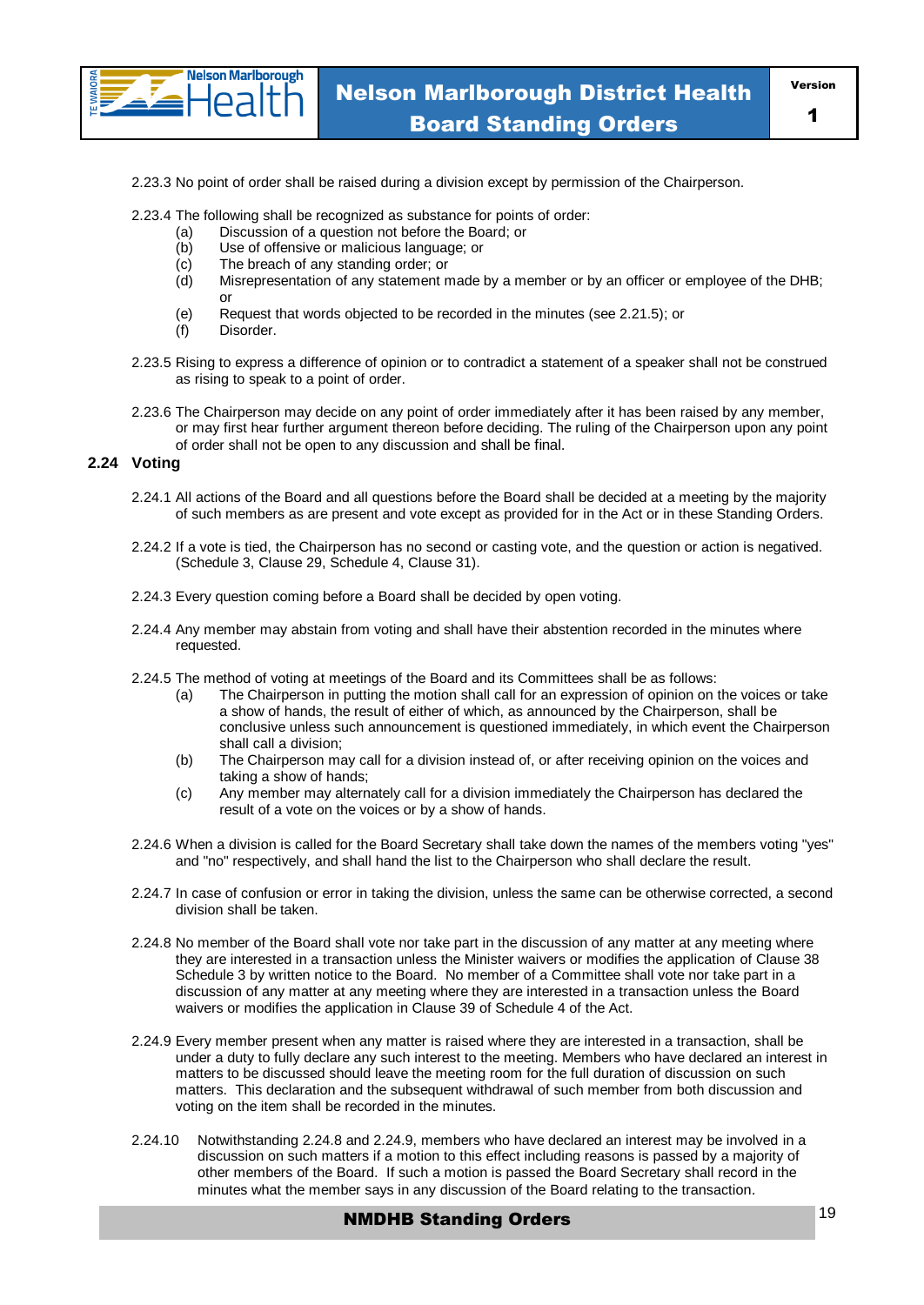

2.23.3 No point of order shall be raised during a division except by permission of the Chairperson.

2.23.4 The following shall be recognized as substance for points of order:

- (a) Discussion of a question not before the Board; or
- (b) Use of offensive or malicious language; or
- (c) The breach of any standing order; or
- (d) Misrepresentation of any statement made by a member or by an officer or employee of the DHB; or
- (e) Request that words objected to be recorded in the minutes (see 2.21.5); or
- (f) Disorder.
- 2.23.5 Rising to express a difference of opinion or to contradict a statement of a speaker shall not be construed as rising to speak to a point of order.
- 2.23.6 The Chairperson may decide on any point of order immediately after it has been raised by any member, or may first hear further argument thereon before deciding. The ruling of the Chairperson upon any point of order shall not be open to any discussion and shall be final.

#### **2.24 Voting**

- 2.24.1 All actions of the Board and all questions before the Board shall be decided at a meeting by the majority of such members as are present and vote except as provided for in the Act or in these Standing Orders.
- 2.24.2 If a vote is tied, the Chairperson has no second or casting vote, and the question or action is negatived. (Schedule 3, Clause 29, Schedule 4, Clause 31).
- 2.24.3 Every question coming before a Board shall be decided by open voting.
- 2.24.4 Any member may abstain from voting and shall have their abstention recorded in the minutes where requested.
- 2.24.5 The method of voting at meetings of the Board and its Committees shall be as follows:
	- (a) The Chairperson in putting the motion shall call for an expression of opinion on the voices or take a show of hands, the result of either of which, as announced by the Chairperson, shall be conclusive unless such announcement is questioned immediately, in which event the Chairperson shall call a division;
	- (b) The Chairperson may call for a division instead of, or after receiving opinion on the voices and taking a show of hands;
	- (c) Any member may alternately call for a division immediately the Chairperson has declared the result of a vote on the voices or by a show of hands.
- 2.24.6 When a division is called for the Board Secretary shall take down the names of the members voting "yes" and "no" respectively, and shall hand the list to the Chairperson who shall declare the result.
- 2.24.7 In case of confusion or error in taking the division, unless the same can be otherwise corrected, a second division shall be taken.
- 2.24.8 No member of the Board shall vote nor take part in the discussion of any matter at any meeting where they are interested in a transaction unless the Minister waivers or modifies the application of Clause 38 Schedule 3 by written notice to the Board. No member of a Committee shall vote nor take part in a discussion of any matter at any meeting where they are interested in a transaction unless the Board waivers or modifies the application in Clause 39 of Schedule 4 of the Act.
- 2.24.9 Every member present when any matter is raised where they are interested in a transaction, shall be under a duty to fully declare any such interest to the meeting. Members who have declared an interest in matters to be discussed should leave the meeting room for the full duration of discussion on such matters. This declaration and the subsequent withdrawal of such member from both discussion and voting on the item shall be recorded in the minutes.
- 2.24.10 Notwithstanding 2.24.8 and 2.24.9, members who have declared an interest may be involved in a discussion on such matters if a motion to this effect including reasons is passed by a majority of other members of the Board. If such a motion is passed the Board Secretary shall record in the minutes what the member says in any discussion of the Board relating to the transaction.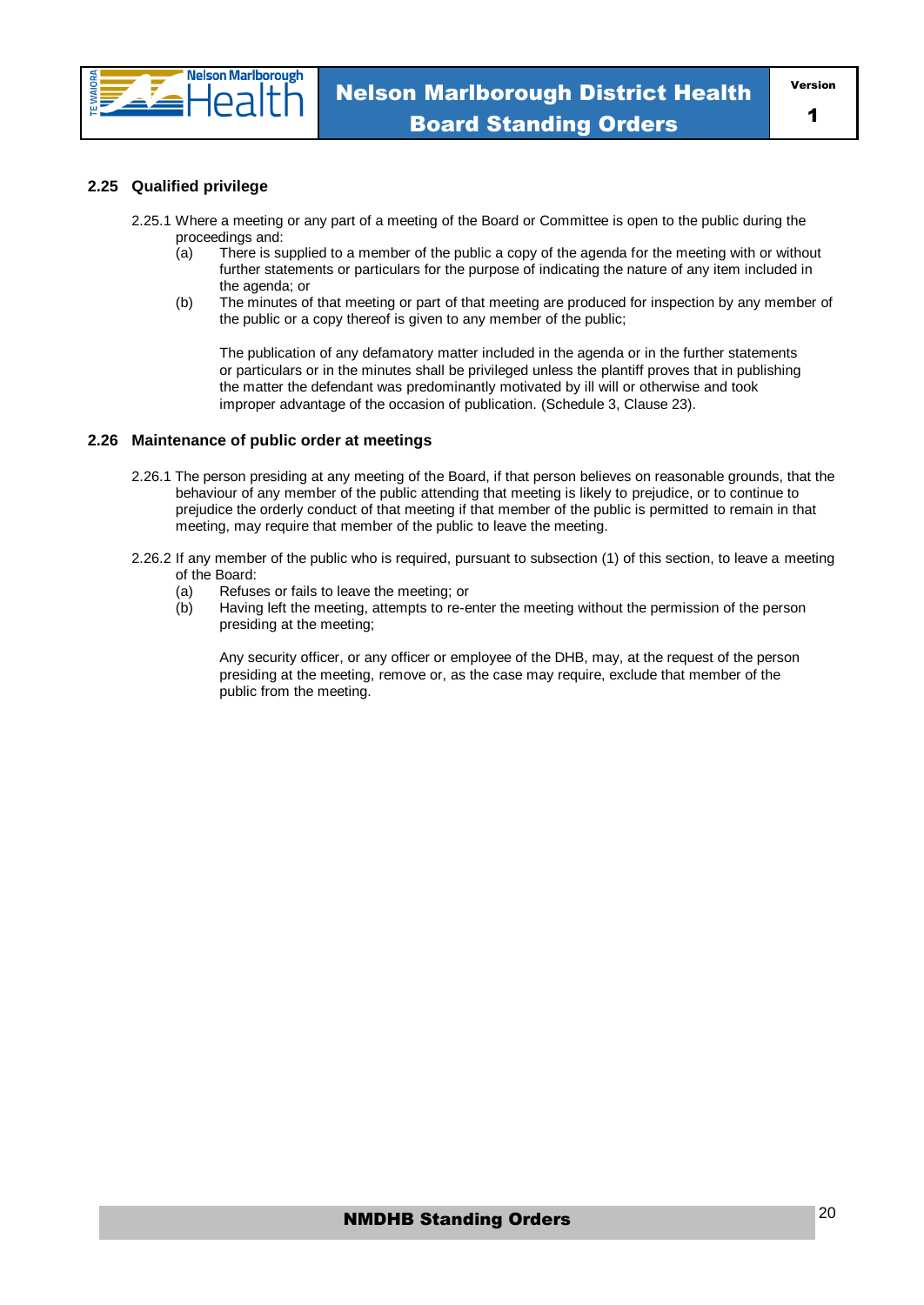

#### **2.25 Qualified privilege**

- 2.25.1 Where a meeting or any part of a meeting of the Board or Committee is open to the public during the proceedings and:
	- (a) There is supplied to a member of the public a copy of the agenda for the meeting with or without further statements or particulars for the purpose of indicating the nature of any item included in the agenda; or
	- (b) The minutes of that meeting or part of that meeting are produced for inspection by any member of the public or a copy thereof is given to any member of the public;

The publication of any defamatory matter included in the agenda or in the further statements or particulars or in the minutes shall be privileged unless the plantiff proves that in publishing the matter the defendant was predominantly motivated by ill will or otherwise and took improper advantage of the occasion of publication. (Schedule 3, Clause 23).

#### **2.26 Maintenance of public order at meetings**

- 2.26.1 The person presiding at any meeting of the Board, if that person believes on reasonable grounds, that the behaviour of any member of the public attending that meeting is likely to prejudice, or to continue to prejudice the orderly conduct of that meeting if that member of the public is permitted to remain in that meeting, may require that member of the public to leave the meeting.
- 2.26.2 If any member of the public who is required, pursuant to subsection (1) of this section, to leave a meeting of the Board:
	- (a) Refuses or fails to leave the meeting; or
	- (b) Having left the meeting, attempts to re-enter the meeting without the permission of the person presiding at the meeting;

Any security officer, or any officer or employee of the DHB, may, at the request of the person presiding at the meeting, remove or, as the case may require, exclude that member of the public from the meeting.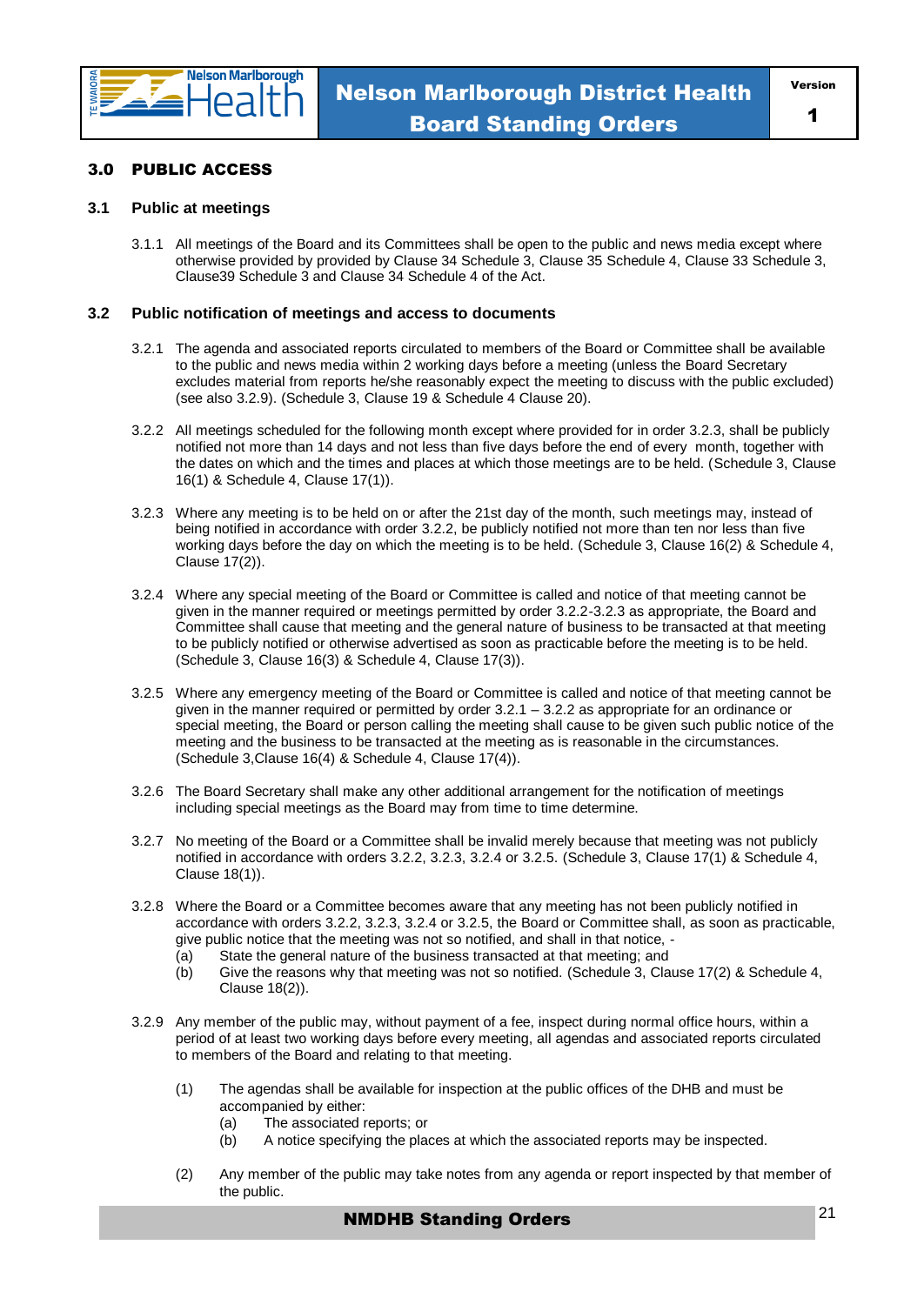

#### 3.0 PUBLIC ACCESS

#### **3.1 Public at meetings**

3.1.1 All meetings of the Board and its Committees shall be open to the public and news media except where otherwise provided by provided by Clause 34 Schedule 3, Clause 35 Schedule 4, Clause 33 Schedule 3, Clause39 Schedule 3 and Clause 34 Schedule 4 of the Act.

#### **3.2 Public notification of meetings and access to documents**

- 3.2.1 The agenda and associated reports circulated to members of the Board or Committee shall be available to the public and news media within 2 working days before a meeting (unless the Board Secretary excludes material from reports he/she reasonably expect the meeting to discuss with the public excluded) (see also 3.2.9). (Schedule 3, Clause 19 & Schedule 4 Clause 20).
- 3.2.2 All meetings scheduled for the following month except where provided for in order 3.2.3, shall be publicly notified not more than 14 days and not less than five days before the end of every month, together with the dates on which and the times and places at which those meetings are to be held. (Schedule 3, Clause 16(1) & Schedule 4, Clause 17(1)).
- 3.2.3 Where any meeting is to be held on or after the 21st day of the month, such meetings may, instead of being notified in accordance with order 3.2.2, be publicly notified not more than ten nor less than five working days before the day on which the meeting is to be held. (Schedule 3, Clause 16(2) & Schedule 4, Clause 17(2)).
- 3.2.4 Where any special meeting of the Board or Committee is called and notice of that meeting cannot be given in the manner required or meetings permitted by order 3.2.2-3.2.3 as appropriate, the Board and Committee shall cause that meeting and the general nature of business to be transacted at that meeting to be publicly notified or otherwise advertised as soon as practicable before the meeting is to be held. (Schedule 3, Clause 16(3) & Schedule 4, Clause 17(3)).
- 3.2.5 Where any emergency meeting of the Board or Committee is called and notice of that meeting cannot be given in the manner required or permitted by order 3.2.1 – 3.2.2 as appropriate for an ordinance or special meeting, the Board or person calling the meeting shall cause to be given such public notice of the meeting and the business to be transacted at the meeting as is reasonable in the circumstances. (Schedule 3,Clause 16(4) & Schedule 4, Clause 17(4)).
- 3.2.6 The Board Secretary shall make any other additional arrangement for the notification of meetings including special meetings as the Board may from time to time determine.
- 3.2.7 No meeting of the Board or a Committee shall be invalid merely because that meeting was not publicly notified in accordance with orders 3.2.2, 3.2.3, 3.2.4 or 3.2.5. (Schedule 3, Clause 17(1) & Schedule 4, Clause 18(1)).
- 3.2.8 Where the Board or a Committee becomes aware that any meeting has not been publicly notified in accordance with orders 3.2.2, 3.2.3, 3.2.4 or 3.2.5, the Board or Committee shall, as soon as practicable, give public notice that the meeting was not so notified, and shall in that notice, -
	- (a) State the general nature of the business transacted at that meeting; and
	- (b) Give the reasons why that meeting was not so notified. (Schedule 3, Clause 17(2) & Schedule 4, Clause 18(2)).
- 3.2.9 Any member of the public may, without payment of a fee, inspect during normal office hours, within a period of at least two working days before every meeting, all agendas and associated reports circulated to members of the Board and relating to that meeting.
	- (1) The agendas shall be available for inspection at the public offices of the DHB and must be accompanied by either:
		- (a) The associated reports; or
		- (b) A notice specifying the places at which the associated reports may be inspected.
	- (2) Any member of the public may take notes from any agenda or report inspected by that member of the public.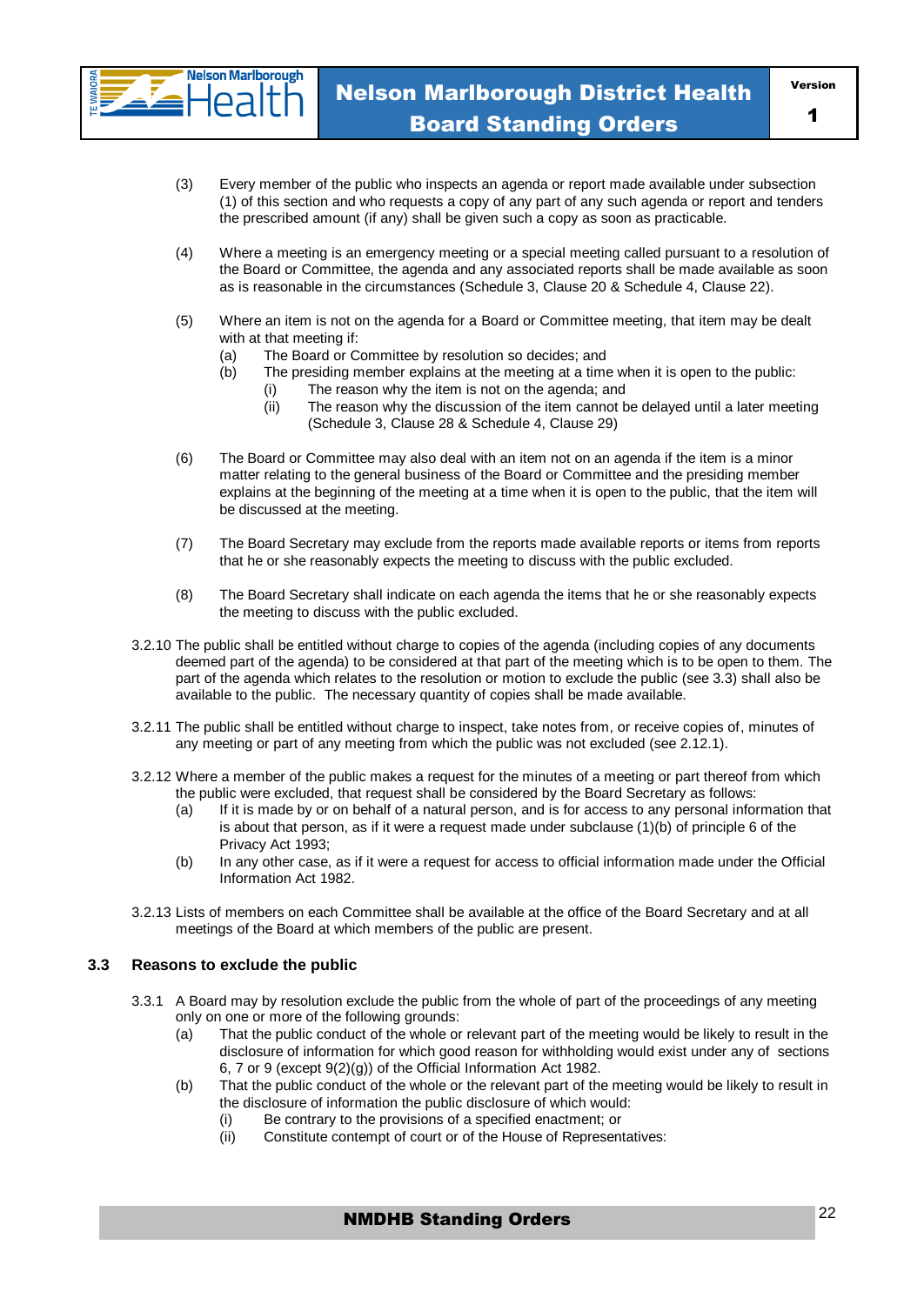

- (3) Every member of the public who inspects an agenda or report made available under subsection (1) of this section and who requests a copy of any part of any such agenda or report and tenders the prescribed amount (if any) shall be given such a copy as soon as practicable.
- (4) Where a meeting is an emergency meeting or a special meeting called pursuant to a resolution of the Board or Committee, the agenda and any associated reports shall be made available as soon as is reasonable in the circumstances (Schedule 3, Clause 20 & Schedule 4, Clause 22).
- (5) Where an item is not on the agenda for a Board or Committee meeting, that item may be dealt with at that meeting if:
	- (a) The Board or Committee by resolution so decides; and
	- (b) The presiding member explains at the meeting at a time when it is open to the public:
		- (i) The reason why the item is not on the agenda; and<br>(ii) The reason why the discussion of the item cannot b
		- The reason why the discussion of the item cannot be delayed until a later meeting (Schedule 3, Clause 28 & Schedule 4, Clause 29)
- (6) The Board or Committee may also deal with an item not on an agenda if the item is a minor matter relating to the general business of the Board or Committee and the presiding member explains at the beginning of the meeting at a time when it is open to the public, that the item will be discussed at the meeting.
- (7) The Board Secretary may exclude from the reports made available reports or items from reports that he or she reasonably expects the meeting to discuss with the public excluded.
- (8) The Board Secretary shall indicate on each agenda the items that he or she reasonably expects the meeting to discuss with the public excluded.
- 3.2.10 The public shall be entitled without charge to copies of the agenda (including copies of any documents deemed part of the agenda) to be considered at that part of the meeting which is to be open to them. The part of the agenda which relates to the resolution or motion to exclude the public (see 3.3) shall also be available to the public. The necessary quantity of copies shall be made available.
- 3.2.11 The public shall be entitled without charge to inspect, take notes from, or receive copies of, minutes of any meeting or part of any meeting from which the public was not excluded (see 2.12.1).
- 3.2.12 Where a member of the public makes a request for the minutes of a meeting or part thereof from which the public were excluded, that request shall be considered by the Board Secretary as follows:
	- (a) If it is made by or on behalf of a natural person, and is for access to any personal information that is about that person, as if it were a request made under subclause (1)(b) of principle 6 of the Privacy Act 1993;
	- (b) In any other case, as if it were a request for access to official information made under the Official Information Act 1982.
- 3.2.13 Lists of members on each Committee shall be available at the office of the Board Secretary and at all meetings of the Board at which members of the public are present.

#### **3.3 Reasons to exclude the public**

- 3.3.1 A Board may by resolution exclude the public from the whole of part of the proceedings of any meeting only on one or more of the following grounds:
	- (a) That the public conduct of the whole or relevant part of the meeting would be likely to result in the disclosure of information for which good reason for withholding would exist under any of sections 6, 7 or 9 (except 9(2)(g)) of the Official Information Act 1982.
	- (b) That the public conduct of the whole or the relevant part of the meeting would be likely to result in the disclosure of information the public disclosure of which would:
		- (i) Be contrary to the provisions of a specified enactment; or
		- (ii) Constitute contempt of court or of the House of Representatives: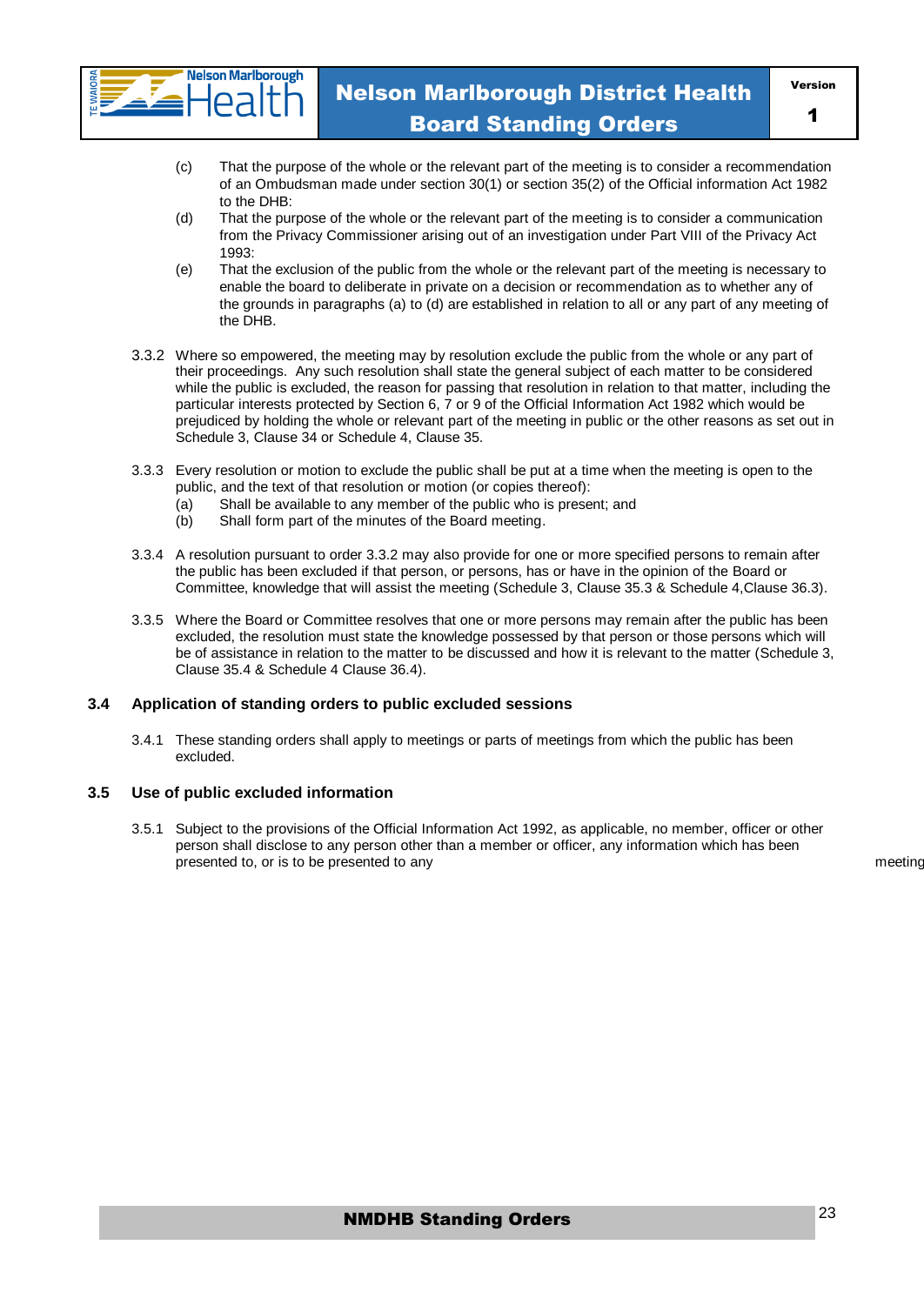

- (c) That the purpose of the whole or the relevant part of the meeting is to consider a recommendation of an Ombudsman made under section 30(1) or section 35(2) of the Official information Act 1982 to the DHB:
- (d) That the purpose of the whole or the relevant part of the meeting is to consider a communication from the Privacy Commissioner arising out of an investigation under Part VIII of the Privacy Act 1993:
- (e) That the exclusion of the public from the whole or the relevant part of the meeting is necessary to enable the board to deliberate in private on a decision or recommendation as to whether any of the grounds in paragraphs (a) to (d) are established in relation to all or any part of any meeting of the DHB.
- 3.3.2 Where so empowered, the meeting may by resolution exclude the public from the whole or any part of their proceedings. Any such resolution shall state the general subject of each matter to be considered while the public is excluded, the reason for passing that resolution in relation to that matter, including the particular interests protected by Section 6, 7 or 9 of the Official Information Act 1982 which would be prejudiced by holding the whole or relevant part of the meeting in public or the other reasons as set out in Schedule 3, Clause 34 or Schedule 4, Clause 35.
- 3.3.3 Every resolution or motion to exclude the public shall be put at a time when the meeting is open to the public, and the text of that resolution or motion (or copies thereof):
	- (a) Shall be available to any member of the public who is present; and
	- (b) Shall form part of the minutes of the Board meeting.
- 3.3.4 A resolution pursuant to order 3.3.2 may also provide for one or more specified persons to remain after the public has been excluded if that person, or persons, has or have in the opinion of the Board or Committee, knowledge that will assist the meeting (Schedule 3, Clause 35.3 & Schedule 4,Clause 36.3).
- 3.3.5 Where the Board or Committee resolves that one or more persons may remain after the public has been excluded, the resolution must state the knowledge possessed by that person or those persons which will be of assistance in relation to the matter to be discussed and how it is relevant to the matter (Schedule 3, Clause 35.4 & Schedule 4 Clause 36.4).

#### **3.4 Application of standing orders to public excluded sessions**

3.4.1 These standing orders shall apply to meetings or parts of meetings from which the public has been excluded.

#### **3.5 Use of public excluded information**

3.5.1 Subject to the provisions of the Official Information Act 1992, as applicable, no member, officer or other person shall disclose to any person other than a member or officer, any information which has been presented to, or is to be presented to any the state of the state of the state of the state of the state of the state of the state of the state of the state of the state of the state of the state of the state of the state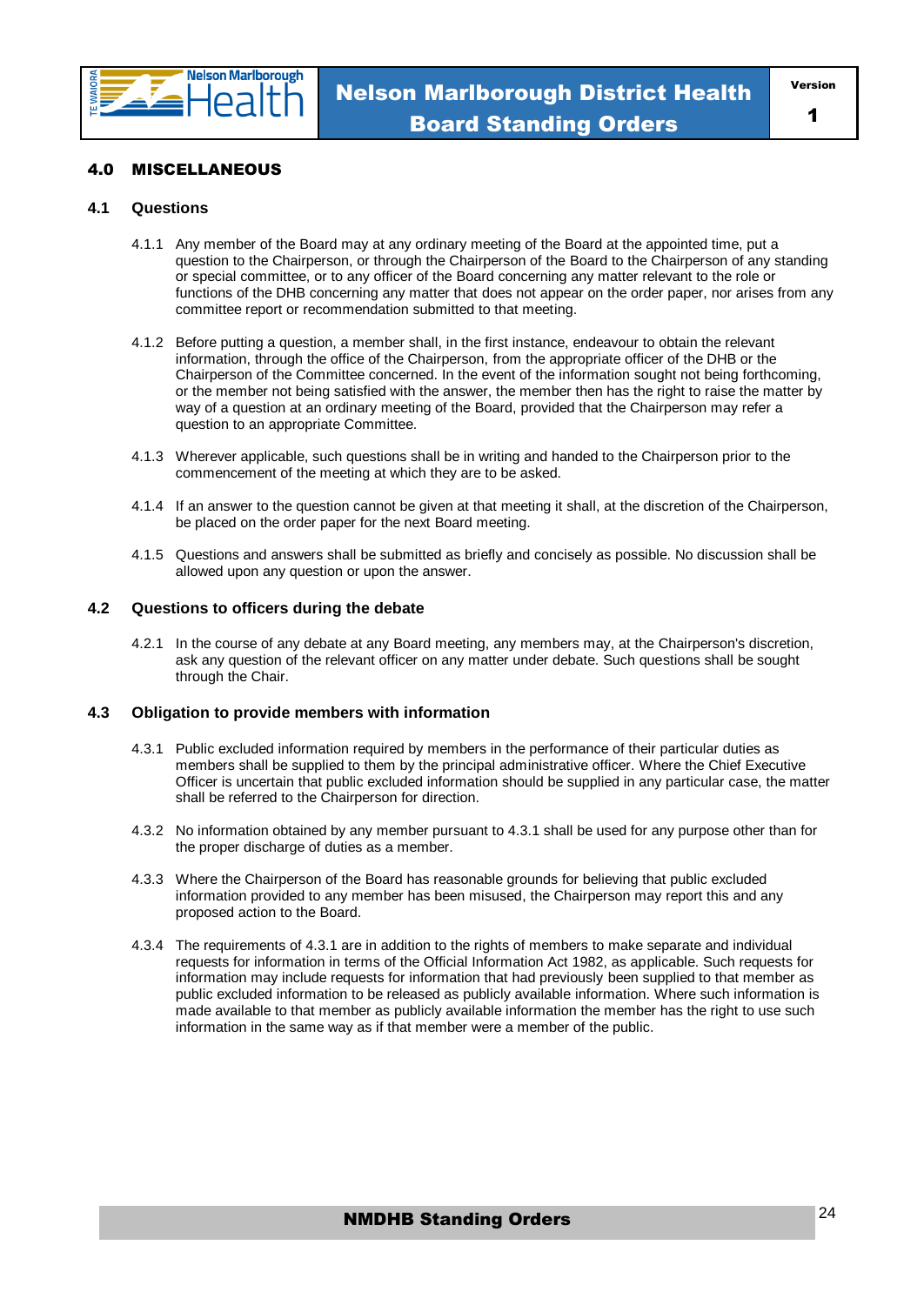

#### 4.0 MISCELLANEOUS

#### **4.1 Questions**

- 4.1.1 Any member of the Board may at any ordinary meeting of the Board at the appointed time, put a question to the Chairperson, or through the Chairperson of the Board to the Chairperson of any standing or special committee, or to any officer of the Board concerning any matter relevant to the role or functions of the DHB concerning any matter that does not appear on the order paper, nor arises from any committee report or recommendation submitted to that meeting.
- 4.1.2 Before putting a question, a member shall, in the first instance, endeavour to obtain the relevant information, through the office of the Chairperson, from the appropriate officer of the DHB or the Chairperson of the Committee concerned. In the event of the information sought not being forthcoming, or the member not being satisfied with the answer, the member then has the right to raise the matter by way of a question at an ordinary meeting of the Board, provided that the Chairperson may refer a question to an appropriate Committee.
- 4.1.3 Wherever applicable, such questions shall be in writing and handed to the Chairperson prior to the commencement of the meeting at which they are to be asked.
- 4.1.4 If an answer to the question cannot be given at that meeting it shall, at the discretion of the Chairperson, be placed on the order paper for the next Board meeting.
- 4.1.5 Questions and answers shall be submitted as briefly and concisely as possible. No discussion shall be allowed upon any question or upon the answer.

#### **4.2 Questions to officers during the debate**

4.2.1 In the course of any debate at any Board meeting, any members may, at the Chairperson's discretion, ask any question of the relevant officer on any matter under debate. Such questions shall be sought through the Chair.

#### **4.3 Obligation to provide members with information**

- 4.3.1 Public excluded information required by members in the performance of their particular duties as members shall be supplied to them by the principal administrative officer. Where the Chief Executive Officer is uncertain that public excluded information should be supplied in any particular case, the matter shall be referred to the Chairperson for direction.
- 4.3.2 No information obtained by any member pursuant to 4.3.1 shall be used for any purpose other than for the proper discharge of duties as a member.
- 4.3.3 Where the Chairperson of the Board has reasonable grounds for believing that public excluded information provided to any member has been misused, the Chairperson may report this and any proposed action to the Board.
- 4.3.4 The requirements of 4.3.1 are in addition to the rights of members to make separate and individual requests for information in terms of the Official Information Act 1982, as applicable. Such requests for information may include requests for information that had previously been supplied to that member as public excluded information to be released as publicly available information. Where such information is made available to that member as publicly available information the member has the right to use such information in the same way as if that member were a member of the public.